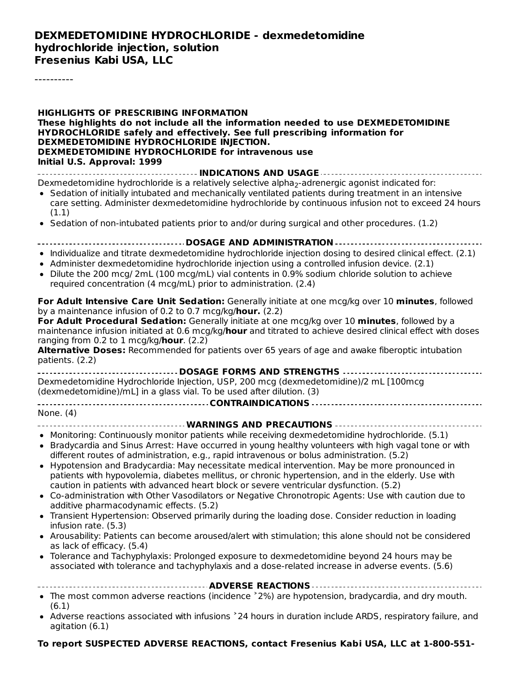#### **DEXMEDETOMIDINE HYDROCHLORIDE - dexmedetomidine hydrochloride injection, solution Fresenius Kabi USA, LLC**

----------

| <b>HIGHLIGHTS OF PRESCRIBING INFORMATION</b><br>These highlights do not include all the information needed to use DEXMEDETOMIDINE<br><b>HYDROCHLORIDE safely and effectively. See full prescribing information for</b><br>DEXMEDETOMIDINE HYDROCHLORIDE INJECTION.<br>DEXMEDETOMIDINE HYDROCHLORIDE for intravenous use<br>Initial U.S. Approval: 1999<br><b> INDICATIONS AND USAGE </b> |  |
|------------------------------------------------------------------------------------------------------------------------------------------------------------------------------------------------------------------------------------------------------------------------------------------------------------------------------------------------------------------------------------------|--|
| Dexmedetomidine hydrochloride is a relatively selective alpha <sub>2</sub> -adrenergic agonist indicated for:                                                                                                                                                                                                                                                                            |  |
| • Sedation of initially intubated and mechanically ventilated patients during treatment in an intensive<br>care setting. Administer dexmedetomidine hydrochloride by continuous infusion not to exceed 24 hours<br>(1.1)                                                                                                                                                                 |  |
| • Sedation of non-intubated patients prior to and/or during surgical and other procedures. (1.2)                                                                                                                                                                                                                                                                                         |  |
|                                                                                                                                                                                                                                                                                                                                                                                          |  |
| • Individualize and titrate dexmedetomidine hydrochloride injection dosing to desired clinical effect. (2.1)<br>• Administer dexmedetomidine hydrochloride injection using a controlled infusion device. (2.1)<br>• Dilute the 200 mcg/ 2mL (100 mcg/mL) vial contents in 0.9% sodium chloride solution to achieve<br>required concentration (4 mcg/mL) prior to administration. (2.4)   |  |
| For Adult Intensive Care Unit Sedation: Generally initiate at one mcg/kg over 10 minutes, followed<br>by a maintenance infusion of 0.2 to 0.7 mcg/kg/hour. (2.2)                                                                                                                                                                                                                         |  |
| For Adult Procedural Sedation: Generally initiate at one mcg/kg over 10 minutes, followed by a<br>maintenance infusion initiated at 0.6 mcg/kg/hour and titrated to achieve desired clinical effect with doses<br>ranging from 0.2 to 1 mcg/kg/ <b>hour.</b> $(2.2)$                                                                                                                     |  |
| Alternative Doses: Recommended for patients over 65 years of age and awake fiberoptic intubation<br>patients. (2.2)                                                                                                                                                                                                                                                                      |  |
| --------------------------------DOSAGE FORMS AND STRENGTHS ---------------------------------                                                                                                                                                                                                                                                                                             |  |
| Dexmedetomidine Hydrochloride Injection, USP, 200 mcg (dexmedetomidine)/2 mL [100mcg<br>(dexmedetomidine)/mL] in a glass vial. To be used after dilution. (3)                                                                                                                                                                                                                            |  |
| None. (4)                                                                                                                                                                                                                                                                                                                                                                                |  |
|                                                                                                                                                                                                                                                                                                                                                                                          |  |
| • Monitoring: Continuously monitor patients while receiving dexmedetomidine hydrochloride. (5.1)<br>• Bradycardia and Sinus Arrest: Have occurred in young healthy volunteers with high vagal tone or with<br>different routes of administration, e.g., rapid intravenous or bolus administration. (5.2)                                                                                 |  |
| • Hypotension and Bradycardia: May necessitate medical intervention. May be more pronounced in                                                                                                                                                                                                                                                                                           |  |
| patients with hypovolemia, diabetes mellitus, or chronic hypertension, and in the elderly. Use with                                                                                                                                                                                                                                                                                      |  |
| caution in patients with advanced heart block or severe ventricular dysfunction. (5.2)<br>• Co-administration with Other Vasodilators or Negative Chronotropic Agents: Use with caution due to                                                                                                                                                                                           |  |
| additive pharmacodynamic effects. (5.2)                                                                                                                                                                                                                                                                                                                                                  |  |
| • Transient Hypertension: Observed primarily during the loading dose. Consider reduction in loading<br>infusion rate. (5.3)                                                                                                                                                                                                                                                              |  |
| • Arousability: Patients can become aroused/alert with stimulation; this alone should not be considered<br>as lack of efficacy. (5.4)                                                                                                                                                                                                                                                    |  |
| • Tolerance and Tachyphylaxis: Prolonged exposure to dexmedetomidine beyond 24 hours may be<br>associated with tolerance and tachyphylaxis and a dose-related increase in adverse events. (5.6)                                                                                                                                                                                          |  |
|                                                                                                                                                                                                                                                                                                                                                                                          |  |
| • The most common adverse reactions (incidence $2\%$ ) are hypotension, bradycardia, and dry mouth.<br>(6.1)                                                                                                                                                                                                                                                                             |  |
| • Adverse reactions associated with infusions '24 hours in duration include ARDS, respiratory failure, and<br>agitation (6.1)                                                                                                                                                                                                                                                            |  |

#### **To report SUSPECTED ADVERSE REACTIONS, contact Fresenius Kabi USA, LLC at 1-800-551-**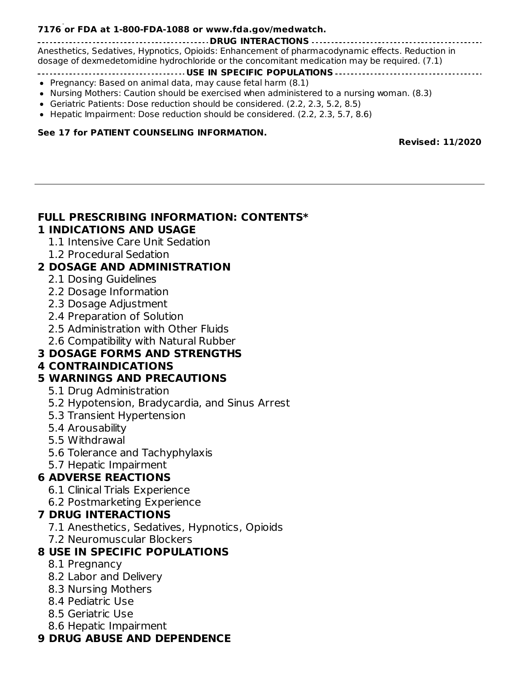#### **To report SUSPECTED ADVERSE REACTIONS, contact Fresenius Kabi USA, LLC at 1-800-551- 7176 or FDA at 1-800-FDA-1088 or www.fda.gov/medwatch.**

**DRUG INTERACTIONS** Anesthetics, Sedatives, Hypnotics, Opioids: Enhancement of pharmacodynamic effects. Reduction in dosage of dexmedetomidine hydrochloride or the concomitant medication may be required. (7.1)

#### **USE IN SPECIFIC POPULATIONS**

- Pregnancy: Based on animal data, may cause fetal harm (8.1)
- Nursing Mothers: Caution should be exercised when administered to a nursing woman. (8.3)
- Geriatric Patients: Dose reduction should be considered. (2.2, 2.3, 5.2, 8.5)
- Hepatic Impairment: Dose reduction should be considered. (2.2, 2.3, 5.7, 8.6)

#### **See 17 for PATIENT COUNSELING INFORMATION.**

**Revised: 11/2020**

### **FULL PRESCRIBING INFORMATION: CONTENTS\***

#### **1 INDICATIONS AND USAGE**

- 1.1 Intensive Care Unit Sedation
- 1.2 Procedural Sedation

#### **2 DOSAGE AND ADMINISTRATION**

- 2.1 Dosing Guidelines
- 2.2 Dosage Information
- 2.3 Dosage Adjustment
- 2.4 Preparation of Solution
- 2.5 Administration with Other Fluids
- 2.6 Compatibility with Natural Rubber

#### **3 DOSAGE FORMS AND STRENGTHS**

#### **4 CONTRAINDICATIONS**

#### **5 WARNINGS AND PRECAUTIONS**

- 5.1 Drug Administration
- 5.2 Hypotension, Bradycardia, and Sinus Arrest
- 5.3 Transient Hypertension
- 5.4 Arousability
- 5.5 Withdrawal
- 5.6 Tolerance and Tachyphylaxis
- 5.7 Hepatic Impairment

#### **6 ADVERSE REACTIONS**

- 6.1 Clinical Trials Experience
- 6.2 Postmarketing Experience

#### **7 DRUG INTERACTIONS**

- 7.1 Anesthetics, Sedatives, Hypnotics, Opioids
- 7.2 Neuromuscular Blockers

#### **8 USE IN SPECIFIC POPULATIONS**

- 8.1 Pregnancy
- 8.2 Labor and Delivery
- 8.3 Nursing Mothers
- 8.4 Pediatric Use
- 8.5 Geriatric Use
- 8.6 Hepatic Impairment

#### **9 DRUG ABUSE AND DEPENDENCE**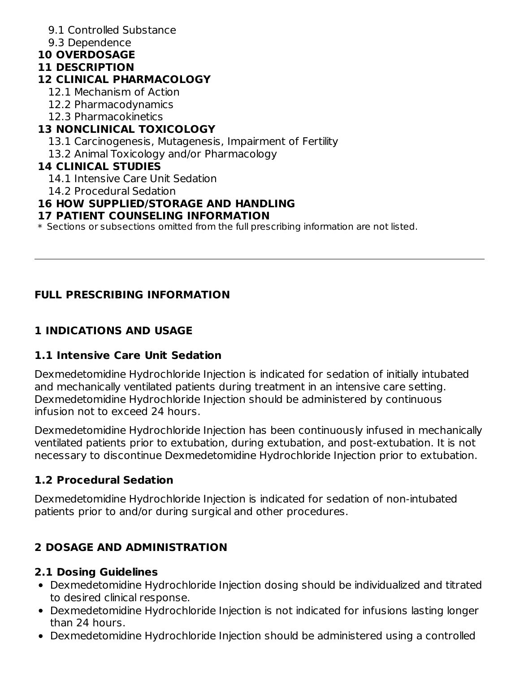- 9.1 Controlled Substance
- 9.3 Dependence
- **10 OVERDOSAGE**

#### **11 DESCRIPTION**

### **12 CLINICAL PHARMACOLOGY**

- 12.1 Mechanism of Action
- 12.2 Pharmacodynamics
- 12.3 Pharmacokinetics

### **13 NONCLINICAL TOXICOLOGY**

- 13.1 Carcinogenesis, Mutagenesis, Impairment of Fertility
- 13.2 Animal Toxicology and/or Pharmacology

### **14 CLINICAL STUDIES**

- 14.1 Intensive Care Unit Sedation
- 14.2 Procedural Sedation

### **16 HOW SUPPLIED/STORAGE AND HANDLING**

#### **17 PATIENT COUNSELING INFORMATION**

 $\ast$  Sections or subsections omitted from the full prescribing information are not listed.

### **FULL PRESCRIBING INFORMATION**

### **1 INDICATIONS AND USAGE**

### **1.1 Intensive Care Unit Sedation**

Dexmedetomidine Hydrochloride Injection is indicated for sedation of initially intubated and mechanically ventilated patients during treatment in an intensive care setting. Dexmedetomidine Hydrochloride Injection should be administered by continuous infusion not to exceed 24 hours.

Dexmedetomidine Hydrochloride Injection has been continuously infused in mechanically ventilated patients prior to extubation, during extubation, and post-extubation. It is not necessary to discontinue Dexmedetomidine Hydrochloride Injection prior to extubation.

### **1.2 Procedural Sedation**

Dexmedetomidine Hydrochloride Injection is indicated for sedation of non-intubated patients prior to and/or during surgical and other procedures.

## **2 DOSAGE AND ADMINISTRATION**

### **2.1 Dosing Guidelines**

- Dexmedetomidine Hydrochloride Injection dosing should be individualized and titrated to desired clinical response.
- Dexmedetomidine Hydrochloride Injection is not indicated for infusions lasting longer than 24 hours.
- Dexmedetomidine Hydrochloride Injection should be administered using a controlled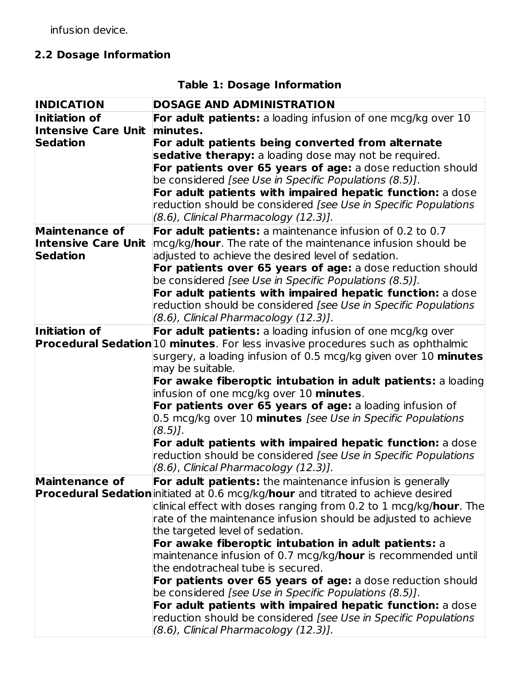infusion device.

## **2.2 Dosage Information**

| <b>INDICATION</b>          | <b>DOSAGE AND ADMINISTRATION</b>                                                        |
|----------------------------|-----------------------------------------------------------------------------------------|
| Initiation of              | For adult patients: a loading infusion of one mcg/kg over 10                            |
| <b>Intensive Care Unit</b> | minutes.                                                                                |
| <b>Sedation</b>            | For adult patients being converted from alternate                                       |
|                            | sedative therapy: a loading dose may not be required.                                   |
|                            | For patients over 65 years of age: a dose reduction should                              |
|                            | be considered [see Use in Specific Populations (8.5)].                                  |
|                            | For adult patients with impaired hepatic function: a dose                               |
|                            | reduction should be considered [see Use in Specific Populations                         |
|                            | (8.6), Clinical Pharmacology (12.3)].                                                   |
| <b>Maintenance of</b>      | For adult patients: a maintenance infusion of 0.2 to 0.7                                |
| <b>Intensive Care Unit</b> | mcg/kg/ <b>hour</b> . The rate of the maintenance infusion should be                    |
| <b>Sedation</b>            | adjusted to achieve the desired level of sedation.                                      |
|                            | For patients over 65 years of age: a dose reduction should                              |
|                            | be considered [see Use in Specific Populations (8.5)].                                  |
|                            | For adult patients with impaired hepatic function: a dose                               |
|                            | reduction should be considered [see Use in Specific Populations                         |
|                            | (8.6), Clinical Pharmacology (12.3)].                                                   |
| Initiation of              | For adult patients: a loading infusion of one mcg/kg over                               |
|                            | Procedural Sedation 10 minutes. For less invasive procedures such as ophthalmic         |
|                            | surgery, a loading infusion of 0.5 mcg/kg given over 10 minutes                         |
|                            | may be suitable.                                                                        |
|                            | For awake fiberoptic intubation in adult patients: a loading                            |
|                            | infusion of one mcg/kg over 10 minutes.                                                 |
|                            | For patients over 65 years of age: a loading infusion of                                |
|                            | 0.5 mcg/kg over 10 minutes [see Use in Specific Populations                             |
|                            | $(8.5)$ ].                                                                              |
|                            | For adult patients with impaired hepatic function: a dose                               |
|                            | reduction should be considered [see Use in Specific Populations                         |
|                            | (8.6), Clinical Pharmacology (12.3)].                                                   |
| <b>Maintenance of</b>      | For adult patients: the maintenance infusion is generally                               |
|                            | <b>Procedural Sedation</b> initiated at 0.6 mcg/kg/hour and titrated to achieve desired |
|                            | clinical effect with doses ranging from 0.2 to 1 mcg/kg/hour. The                       |
|                            | rate of the maintenance infusion should be adjusted to achieve                          |
|                            | the targeted level of sedation.                                                         |
|                            | For awake fiberoptic intubation in adult patients: a                                    |
|                            | maintenance infusion of 0.7 mcg/kg/hour is recommended until                            |
|                            | the endotracheal tube is secured.                                                       |
|                            | For patients over 65 years of age: a dose reduction should                              |
|                            | be considered [see Use in Specific Populations (8.5)].                                  |
|                            | For adult patients with impaired hepatic function: a dose                               |
|                            | reduction should be considered [see Use in Specific Populations                         |
|                            | (8.6), Clinical Pharmacology (12.3)].                                                   |

# **Table 1: Dosage Information**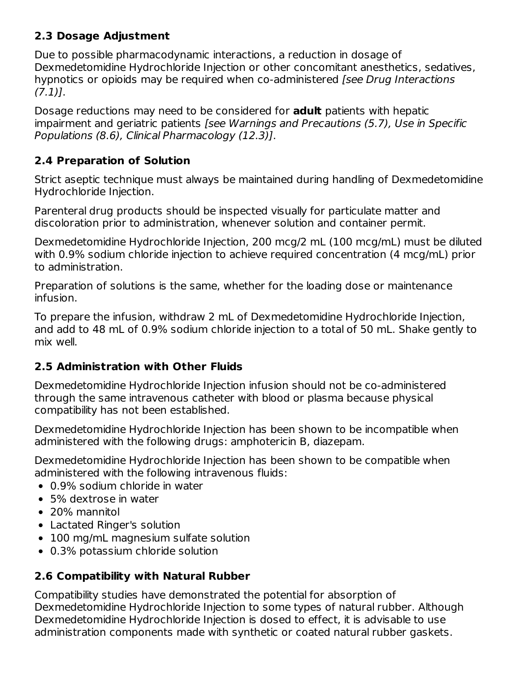### **2.3 Dosage Adjustment**

Due to possible pharmacodynamic interactions, a reduction in dosage of Dexmedetomidine Hydrochloride Injection or other concomitant anesthetics, sedatives, hypnotics or opioids may be required when co-administered *[see Drug Interactions*  $(7.1)$ ].

Dosage reductions may need to be considered for **adult** patients with hepatic impairment and geriatric patients [see Warnings and Precautions (5.7), Use in Specific Populations (8.6), Clinical Pharmacology (12.3)].

### **2.4 Preparation of Solution**

Strict aseptic technique must always be maintained during handling of Dexmedetomidine Hydrochloride Injection.

Parenteral drug products should be inspected visually for particulate matter and discoloration prior to administration, whenever solution and container permit.

Dexmedetomidine Hydrochloride Injection, 200 mcg/2 mL (100 mcg/mL) must be diluted with 0.9% sodium chloride injection to achieve required concentration (4 mcg/mL) prior to administration.

Preparation of solutions is the same, whether for the loading dose or maintenance infusion.

To prepare the infusion, withdraw 2 mL of Dexmedetomidine Hydrochloride Injection, and add to 48 mL of 0.9% sodium chloride injection to a total of 50 mL. Shake gently to mix well.

### **2.5 Administration with Other Fluids**

Dexmedetomidine Hydrochloride Injection infusion should not be co-administered through the same intravenous catheter with blood or plasma because physical compatibility has not been established.

Dexmedetomidine Hydrochloride Injection has been shown to be incompatible when administered with the following drugs: amphotericin B, diazepam.

Dexmedetomidine Hydrochloride Injection has been shown to be compatible when administered with the following intravenous fluids:

- 0.9% sodium chloride in water
- 5% dextrose in water
- 20% mannitol
- Lactated Ringer's solution
- 100 mg/mL magnesium sulfate solution
- 0.3% potassium chloride solution

### **2.6 Compatibility with Natural Rubber**

Compatibility studies have demonstrated the potential for absorption of Dexmedetomidine Hydrochloride Injection to some types of natural rubber. Although Dexmedetomidine Hydrochloride Injection is dosed to effect, it is advisable to use administration components made with synthetic or coated natural rubber gaskets.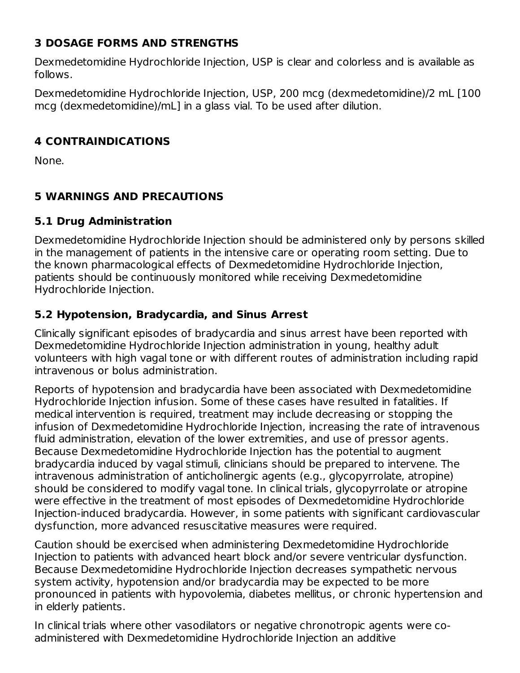### **3 DOSAGE FORMS AND STRENGTHS**

Dexmedetomidine Hydrochloride Injection, USP is clear and colorless and is available as follows.

Dexmedetomidine Hydrochloride Injection, USP, 200 mcg (dexmedetomidine)/2 mL [100 mcg (dexmedetomidine)/mL] in a glass vial. To be used after dilution.

### **4 CONTRAINDICATIONS**

None.

### **5 WARNINGS AND PRECAUTIONS**

### **5.1 Drug Administration**

Dexmedetomidine Hydrochloride Injection should be administered only by persons skilled in the management of patients in the intensive care or operating room setting. Due to the known pharmacological effects of Dexmedetomidine Hydrochloride Injection, patients should be continuously monitored while receiving Dexmedetomidine Hydrochloride Injection.

### **5.2 Hypotension, Bradycardia, and Sinus Arrest**

Clinically significant episodes of bradycardia and sinus arrest have been reported with Dexmedetomidine Hydrochloride Injection administration in young, healthy adult volunteers with high vagal tone or with different routes of administration including rapid intravenous or bolus administration.

Reports of hypotension and bradycardia have been associated with Dexmedetomidine Hydrochloride Injection infusion. Some of these cases have resulted in fatalities. If medical intervention is required, treatment may include decreasing or stopping the infusion of Dexmedetomidine Hydrochloride Injection, increasing the rate of intravenous fluid administration, elevation of the lower extremities, and use of pressor agents. Because Dexmedetomidine Hydrochloride Injection has the potential to augment bradycardia induced by vagal stimuli, clinicians should be prepared to intervene. The intravenous administration of anticholinergic agents (e.g., glycopyrrolate, atropine) should be considered to modify vagal tone. In clinical trials, glycopyrrolate or atropine were effective in the treatment of most episodes of Dexmedetomidine Hydrochloride Injection-induced bradycardia. However, in some patients with significant cardiovascular dysfunction, more advanced resuscitative measures were required.

Caution should be exercised when administering Dexmedetomidine Hydrochloride Injection to patients with advanced heart block and/or severe ventricular dysfunction. Because Dexmedetomidine Hydrochloride Injection decreases sympathetic nervous system activity, hypotension and/or bradycardia may be expected to be more pronounced in patients with hypovolemia, diabetes mellitus, or chronic hypertension and in elderly patients.

In clinical trials where other vasodilators or negative chronotropic agents were coadministered with Dexmedetomidine Hydrochloride Injection an additive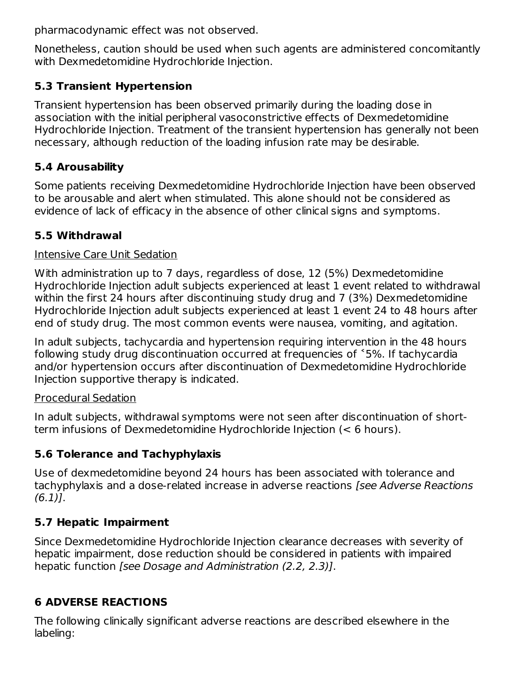pharmacodynamic effect was not observed.

Nonetheless, caution should be used when such agents are administered concomitantly with Dexmedetomidine Hydrochloride Injection.

### **5.3 Transient Hypertension**

Transient hypertension has been observed primarily during the loading dose in association with the initial peripheral vasoconstrictive effects of Dexmedetomidine Hydrochloride Injection. Treatment of the transient hypertension has generally not been necessary, although reduction of the loading infusion rate may be desirable.

### **5.4 Arousability**

Some patients receiving Dexmedetomidine Hydrochloride Injection have been observed to be arousable and alert when stimulated. This alone should not be considered as evidence of lack of efficacy in the absence of other clinical signs and symptoms.

### **5.5 Withdrawal**

### Intensive Care Unit Sedation

With administration up to 7 days, regardless of dose, 12 (5%) Dexmedetomidine Hydrochloride Injection adult subjects experienced at least 1 event related to withdrawal within the first 24 hours after discontinuing study drug and 7 (3%) Dexmedetomidine Hydrochloride Injection adult subjects experienced at least 1 event 24 to 48 hours after end of study drug. The most common events were nausea, vomiting, and agitation.

In adult subjects, tachycardia and hypertension requiring intervention in the 48 hours following study drug discontinuation occurred at frequencies of ˂5%. If tachycardia and/or hypertension occurs after discontinuation of Dexmedetomidine Hydrochloride Injection supportive therapy is indicated.

### Procedural Sedation

In adult subjects, withdrawal symptoms were not seen after discontinuation of shortterm infusions of Dexmedetomidine Hydrochloride Injection (< 6 hours).

### **5.6 Tolerance and Tachyphylaxis**

Use of dexmedetomidine beyond 24 hours has been associated with tolerance and tachyphylaxis and a dose-related increase in adverse reactions [see Adverse Reactions (6.1)].

### **5.7 Hepatic Impairment**

Since Dexmedetomidine Hydrochloride Injection clearance decreases with severity of hepatic impairment, dose reduction should be considered in patients with impaired hepatic function [see Dosage and Administration (2.2, 2.3)].

### **6 ADVERSE REACTIONS**

The following clinically significant adverse reactions are described elsewhere in the labeling: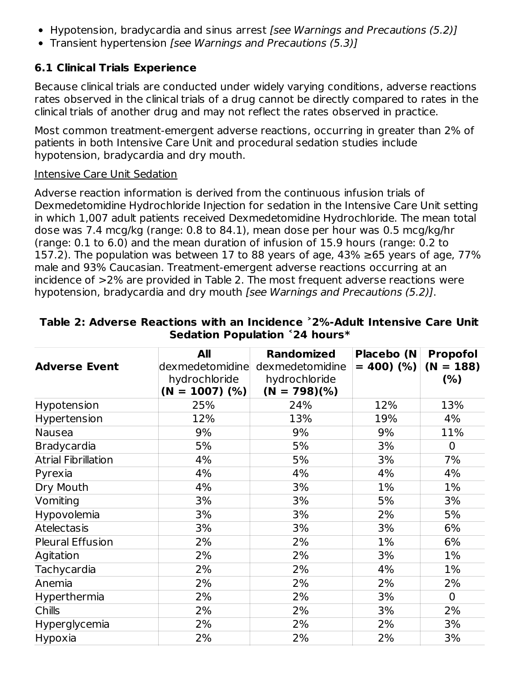- Hypotension, bradycardia and sinus arrest *[see Warnings and Precautions (5.2)]*
- Transient hypertension [see Warnings and Precautions (5.3)]

### **6.1 Clinical Trials Experience**

Because clinical trials are conducted under widely varying conditions, adverse reactions rates observed in the clinical trials of a drug cannot be directly compared to rates in the clinical trials of another drug and may not reflect the rates observed in practice.

Most common treatment-emergent adverse reactions, occurring in greater than 2% of patients in both Intensive Care Unit and procedural sedation studies include hypotension, bradycardia and dry mouth.

#### Intensive Care Unit Sedation

Adverse reaction information is derived from the continuous infusion trials of Dexmedetomidine Hydrochloride Injection for sedation in the Intensive Care Unit setting in which 1,007 adult patients received Dexmedetomidine Hydrochloride. The mean total dose was 7.4 mcg/kg (range: 0.8 to 84.1), mean dose per hour was 0.5 mcg/kg/hr (range: 0.1 to 6.0) and the mean duration of infusion of 15.9 hours (range: 0.2 to 157.2). The population was between 17 to 88 years of age, 43%  $\geq$ 65 years of age, 77% male and 93% Caucasian. Treatment-emergent adverse reactions occurring at an incidence of >2% are provided in Table 2. The most frequent adverse reactions were hypotension, bradycardia and dry mouth [see Warnings and Precautions (5.2)].

|                            | All              | <b>Randomized</b> | Placebo (N    | <b>Propofol</b> |
|----------------------------|------------------|-------------------|---------------|-----------------|
| <b>Adverse Event</b>       | dexmedetomidine  | dexmedetomidine   | $= 400$ ) (%) | $(N = 188)$     |
|                            | hydrochloride    | hydrochloride     |               | (% )            |
|                            | $(N = 1007)$ (%) | $(N = 798)(%)$    |               |                 |
| Hypotension                | 25%              | 24%               | 12%           | 13%             |
| Hypertension               | 12%              | 13%               | 19%           | 4%              |
| <b>Nausea</b>              | 9%               | 9%                | 9%            | 11%             |
| <b>Bradycardia</b>         | 5%               | 5%                | 3%            | 0               |
| <b>Atrial Fibrillation</b> | 4%               | 5%                | 3%            | 7%              |
| Pyrexia                    | 4%               | 4%                | 4%            | 4%              |
| Dry Mouth                  | 4%               | 3%                | 1%            | 1%              |
| Vomiting                   | 3%               | 3%                | 5%            | 3%              |
| Hypovolemia                | 3%               | 3%                | 2%            | 5%              |
| <b>Atelectasis</b>         | 3%               | 3%                | 3%            | 6%              |
| <b>Pleural Effusion</b>    | 2%               | 2%                | 1%            | 6%              |
| Agitation                  | 2%               | 2%                | 3%            | 1%              |
| Tachycardia                | 2%               | 2%                | 4%            | 1%              |
| Anemia                     | 2%               | 2%                | 2%            | 2%              |
| Hyperthermia               | 2%               | 2%                | 3%            | $\overline{0}$  |
| <b>Chills</b>              | 2%               | 2%                | 3%            | 2%              |
| Hyperglycemia              | 2%               | 2%                | 2%            | 3%              |
| Hypoxia                    | 2%               | 2%                | 2%            | 3%              |

#### **Table 2: Adverse Reactions with an Incidence ˃2%-Adult Intensive Care Unit Sedation Population ˂24 hours\***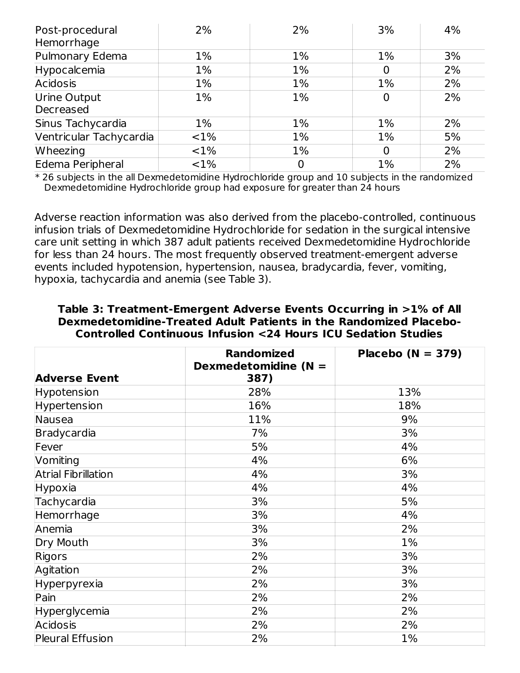| Post-procedural<br>Hemorrhage | 2%       | 2%          | 3%             | 4% |
|-------------------------------|----------|-------------|----------------|----|
| Pulmonary Edema               | $1\%$    | $1\%$       | $1\%$          | 3% |
| Hypocalcemia                  | 1%       | 1%          | $\overline{0}$ | 2% |
| <b>Acidosis</b>               | 1%       | 1%          | $1\%$          | 2% |
| Urine Output<br>Decreased     | 1%       | 1%          | $\mathbf 0$    | 2% |
| Sinus Tachycardia             | $1\%$    | $1\%$       | $1\%$          | 2% |
| Ventricular Tachycardia       | ${<}1\%$ | 1%          | $1\%$          | 5% |
| Wheezing                      | ${<}1\%$ | 1%          | $\overline{0}$ | 2% |
| Edema Peripheral              | $< 1\%$  | $\mathbf 0$ | 1%             | 2% |

 $*$  26 subjects in the all Dexmedetomidine Hydrochloride group and 10 subjects in the randomized Dexmedetomidine Hydrochloride group had exposure for greater than 24 hours

Adverse reaction information was also derived from the placebo-controlled, continuous infusion trials of Dexmedetomidine Hydrochloride for sedation in the surgical intensive care unit setting in which 387 adult patients received Dexmedetomidine Hydrochloride for less than 24 hours. The most frequently observed treatment-emergent adverse events included hypotension, hypertension, nausea, bradycardia, fever, vomiting, hypoxia, tachycardia and anemia (see Table 3).

| Table 3: Treatment-Emergent Adverse Events Occurring in >1% of All |
|--------------------------------------------------------------------|
| Dexmedetomidine-Treated Adult Patients in the Randomized Placebo-  |
| Controlled Continuous Infusion <24 Hours ICU Sedation Studies      |

|                            | <b>Randomized</b><br>Dexmedetomidine ( $N =$ | Placebo ( $N = 379$ ) |
|----------------------------|----------------------------------------------|-----------------------|
| <b>Adverse Event</b>       | 387)                                         |                       |
| Hypotension                | 28%                                          | 13%                   |
| Hypertension               | 16%                                          | 18%                   |
| Nausea                     | 11%                                          | 9%                    |
| Bradycardia                | 7%                                           | 3%                    |
| Fever                      | 5%                                           | 4%                    |
| Vomiting                   | 4%                                           | 6%                    |
| <b>Atrial Fibrillation</b> | 4%                                           | 3%                    |
| Hypoxia                    | 4%                                           | 4%                    |
| Tachycardia                | 3%                                           | 5%                    |
| Hemorrhage                 | 3%                                           | 4%                    |
| Anemia                     | 3%                                           | 2%                    |
| Dry Mouth                  | 3%                                           | 1%                    |
| Rigors                     | 2%                                           | 3%                    |
| Agitation                  | 2%                                           | 3%                    |
| Hyperpyrexia               | 2%                                           | 3%                    |
| Pain                       | 2%                                           | 2%                    |
| Hyperglycemia              | 2%                                           | 2%                    |
| Acidosis                   | 2%                                           | 2%                    |
| <b>Pleural Effusion</b>    | 2%                                           | 1%                    |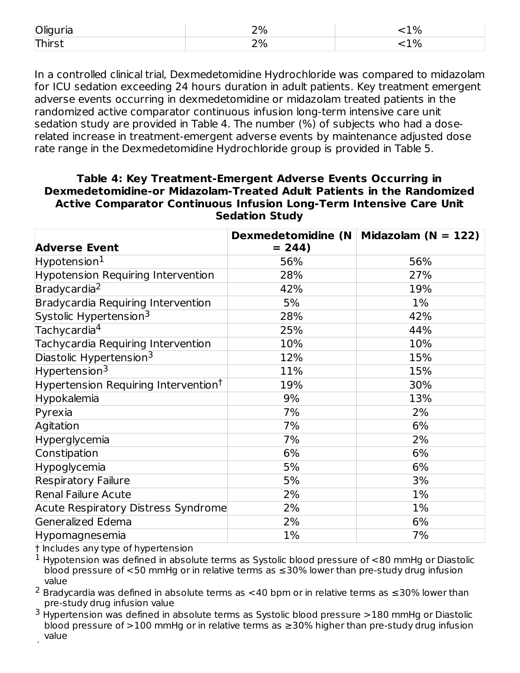| $\sim$ $\cdot$<br>ш<br>∼ | $\sim$ 70         | ., |
|--------------------------|-------------------|----|
| _______                  | -11.<br>ີ<br>$-1$ |    |

In a controlled clinical trial, Dexmedetomidine Hydrochloride was compared to midazolam for ICU sedation exceeding 24 hours duration in adult patients. Key treatment emergent adverse events occurring in dexmedetomidine or midazolam treated patients in the randomized active comparator continuous infusion long-term intensive care unit sedation study are provided in Table 4. The number (%) of subjects who had a doserelated increase in treatment-emergent adverse events by maintenance adjusted dose rate range in the Dexmedetomidine Hydrochloride group is provided in Table 5.

#### **Table 4: Key Treatment-Emergent Adverse Events Occurring in Dexmedetomidine-or Midazolam-Treated Adult Patients in the Randomized Active Comparator Continuous Infusion Long-Term Intensive Care Unit Sedation Study**

|                                                  |         | Dexmedetomidine (N   Midazolam (N = 122) |
|--------------------------------------------------|---------|------------------------------------------|
| <b>Adverse Event</b>                             | $= 244$ |                                          |
| $H$ ypotension $^1$                              | 56%     | 56%                                      |
| <b>Hypotension Requiring Intervention</b>        | 28%     | 27%                                      |
| Bradycardia <sup>2</sup>                         | 42%     | 19%                                      |
| Bradycardia Requiring Intervention               | 5%      | 1%                                       |
| Systolic Hypertension <sup>3</sup>               | 28%     | 42%                                      |
| Tachycardia <sup>4</sup>                         | 25%     | 44%                                      |
| Tachycardia Requiring Intervention               | 10%     | 10%                                      |
| Diastolic Hypertension <sup>3</sup>              | 12%     | 15%                                      |
| Hypertension <sup>3</sup>                        | 11%     | 15%                                      |
| Hypertension Requiring Intervention <sup>†</sup> | 19%     | 30%                                      |
| Hypokalemia                                      | 9%      | 13%                                      |
| Pyrexia                                          | 7%      | 2%                                       |
| Agitation                                        | 7%      | 6%                                       |
| Hyperglycemia                                    | 7%      | 2%                                       |
| Constipation                                     | 6%      | 6%                                       |
| Hypoglycemia                                     | 5%      | 6%                                       |
| <b>Respiratory Failure</b>                       | 5%      | 3%                                       |
| <b>Renal Failure Acute</b>                       | 2%      | 1%                                       |
| <b>Acute Respiratory Distress Syndrome</b>       | 2%      | 1%                                       |
| Generalized Edema                                | 2%      | 6%                                       |
| Hypomagnesemia                                   | 1%      | 7%                                       |

† Includes any type of hypertension

4

 $^{\rm 1}$  Hypotension was defined in absolute terms as Systolic blood pressure of  $<$ 80 mmHg or Diastolic blood pressure of <50 mmHg or in relative terms as ≤30% lower than pre-study drug infusion value

<sup>2</sup> Bradycardia was defined in absolute terms as <40 bpm or in relative terms as  $\leq$ 30% lower than pre-study drug infusion value

 $^3$  Hypertension was defined in absolute terms as Systolic blood pressure  $>$ 180 mmHg or Diastolic blood pressure of >100 mmHg or in relative terms as ≥30% higher than pre-study drug infusion value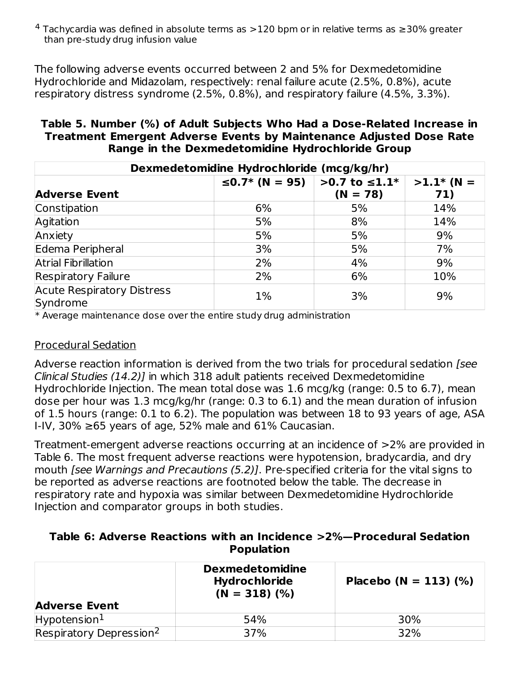$^4$  Tachycardia was defined in absolute terms as  $>$ 120 bpm or in relative terms as  $\geq$ 30% greater than pre-study drug infusion value

The following adverse events occurred between 2 and 5% for Dexmedetomidine Hydrochloride and Midazolam, respectively: renal failure acute (2.5%, 0.8%), acute respiratory distress syndrome (2.5%, 0.8%), and respiratory failure (4.5%, 3.3%).

#### **Table 5. Number (%) of Adult Subjects Who Had a Dose-Related Increase in Treatment Emergent Adverse Events by Maintenance Adjusted Dose Rate Range in the Dexmedetomidine Hydrochloride Group**

| Dexmedetomidine Hydrochloride (mcg/kg/hr)     |       |                                             |                     |
|-----------------------------------------------|-------|---------------------------------------------|---------------------|
| <b>Adverse Event</b>                          |       | ≤0.7* (N = 95) > 0.7 to ≤1.1*<br>$(N = 78)$ | $>1.1*$ (N =<br>71) |
| Constipation                                  | 6%    | 5%                                          | 14%                 |
| Agitation                                     | 5%    | 8%                                          | 14%                 |
| Anxiety                                       | 5%    | 5%                                          | 9%                  |
| Edema Peripheral                              | 3%    | 5%                                          | 7%                  |
| <b>Atrial Fibrillation</b>                    | 2%    | 4%                                          | 9%                  |
| <b>Respiratory Failure</b>                    | 2%    | 6%                                          | 10%                 |
| <b>Acute Respiratory Distress</b><br>Syndrome | $1\%$ | 3%                                          | 9%                  |

\* Average maintenance dose over the entire study drug administration

#### Procedural Sedation

Adverse reaction information is derived from the two trials for procedural sedation [see Clinical Studies (14.2)] in which 318 adult patients received Dexmedetomidine Hydrochloride Injection. The mean total dose was 1.6 mcg/kg (range: 0.5 to 6.7), mean dose per hour was 1.3 mcg/kg/hr (range: 0.3 to 6.1) and the mean duration of infusion of 1.5 hours (range: 0.1 to 6.2). The population was between 18 to 93 years of age, ASA I-IV, 30% ≥65 years of age, 52% male and 61% Caucasian.

Treatment-emergent adverse reactions occurring at an incidence of >2% are provided in Table 6. The most frequent adverse reactions were hypotension, bradycardia, and dry mouth [see Warnings and Precautions (5.2)]. Pre-specified criteria for the vital signs to be reported as adverse reactions are footnoted below the table. The decrease in respiratory rate and hypoxia was similar between Dexmedetomidine Hydrochloride Injection and comparator groups in both studies.

#### **Table 6: Adverse Reactions with an Incidence >2%—Procedural Sedation Population**

| <b>Adverse Event</b>                | <b>Dexmedetomidine</b><br><b>Hydrochloride</b><br>$(N = 318)$ (%) | Placebo (N = 113) $(\%)$ |
|-------------------------------------|-------------------------------------------------------------------|--------------------------|
| $H$ ypotension $^1$                 | 54%                                                               | 30%                      |
| Respiratory Depression <sup>2</sup> | 37%                                                               | 32%                      |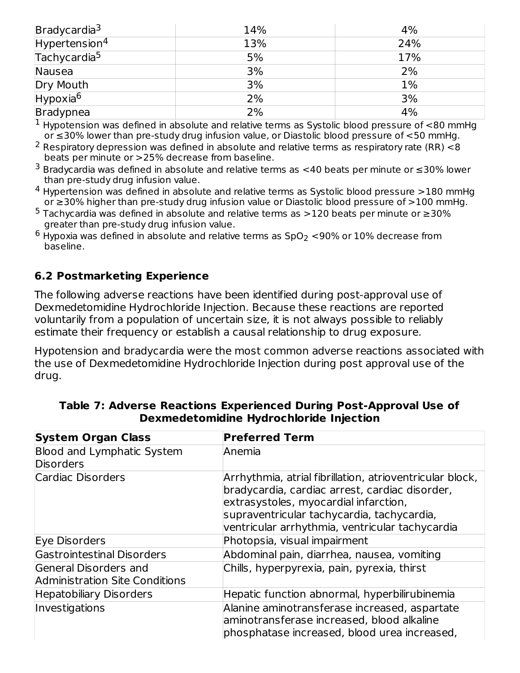| Bradycardia <sup>3</sup>  | 14% | 4%  |
|---------------------------|-----|-----|
| Hypertension <sup>4</sup> | 13% | 24% |
| Tachycardia <sup>5</sup>  | 5%  | 17% |
| Nausea                    | 3%  | 2%  |
| Dry Mouth                 | 3%  | 1%  |
| Hypoxia <sup>6</sup>      | 2%  | 3%  |
| Bradypnea                 | 2%  | 4%  |

 $^{\text{1}}$  Hypotension was defined in absolute and relative terms as Systolic blood pressure of <80 mmHg or ≤30% lower than pre-study drug infusion value, or Diastolic blood pressure of <50 mmHg.

- $^2$  Respiratory depression was defined in absolute and relative terms as respiratory rate (RR) <8 beats per minute or >25% decrease from baseline.
- $3$  Bradycardia was defined in absolute and relative terms as <40 beats per minute or  $\leq$ 30% lower than pre-study drug infusion value.
- $^4$  Hypertension was defined in absolute and relative terms as Systolic blood pressure  $>\!180$  mmHg or ≥30% higher than pre-study drug infusion value or Diastolic blood pressure of >100 mmHg.
- <sup>5</sup> Tachycardia was defined in absolute and relative terms as >120 beats per minute or ≥30% greater than pre-study drug infusion value.
- $^6$  Hypoxia was defined in absolute and relative terms as SpO $_2$  <90% or 10% decrease from baseline.

### **6.2 Postmarketing Experience**

The following adverse reactions have been identified during post-approval use of Dexmedetomidine Hydrochloride Injection. Because these reactions are reported voluntarily from a population of uncertain size, it is not always possible to reliably estimate their frequency or establish a causal relationship to drug exposure.

Hypotension and bradycardia were the most common adverse reactions associated with the use of Dexmedetomidine Hydrochloride Injection during post approval use of the drug.

| <b>System Organ Class</b>                                      | <b>Preferred Term</b>                                                                                                                                                                                                                                |
|----------------------------------------------------------------|------------------------------------------------------------------------------------------------------------------------------------------------------------------------------------------------------------------------------------------------------|
| <b>Blood and Lymphatic System</b><br><b>Disorders</b>          | Anemia                                                                                                                                                                                                                                               |
| Cardiac Disorders                                              | Arrhythmia, atrial fibrillation, atrioventricular block,<br>bradycardia, cardiac arrest, cardiac disorder,<br>extrasystoles, myocardial infarction,<br>supraventricular tachycardia, tachycardia,<br>ventricular arrhythmia, ventricular tachycardia |
| Eye Disorders                                                  | Photopsia, visual impairment                                                                                                                                                                                                                         |
| <b>Gastrointestinal Disorders</b>                              | Abdominal pain, diarrhea, nausea, vomiting                                                                                                                                                                                                           |
| General Disorders and<br><b>Administration Site Conditions</b> | Chills, hyperpyrexia, pain, pyrexia, thirst                                                                                                                                                                                                          |
| <b>Hepatobiliary Disorders</b>                                 | Hepatic function abnormal, hyperbilirubinemia                                                                                                                                                                                                        |
| Investigations                                                 | Alanine aminotransferase increased, aspartate<br>aminotransferase increased, blood alkaline<br>phosphatase increased, blood urea increased,                                                                                                          |

|  |                                         |  | Table 7: Adverse Reactions Experienced During Post-Approval Use of |  |
|--|-----------------------------------------|--|--------------------------------------------------------------------|--|
|  | Dexmedetomidine Hydrochloride Injection |  |                                                                    |  |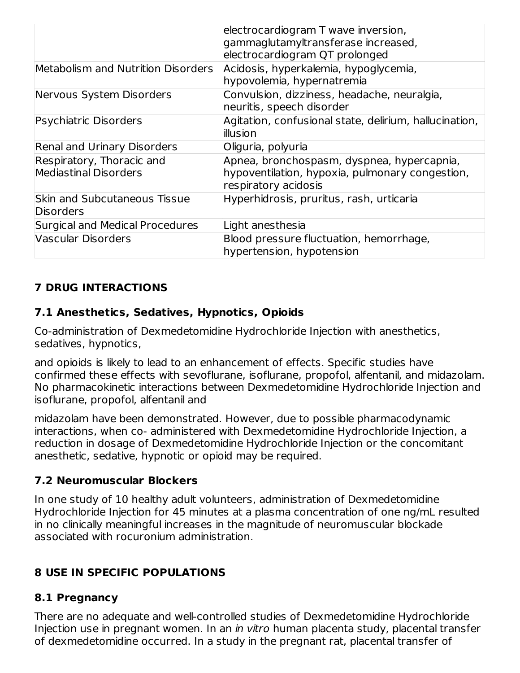|                                                         | electrocardiogram T wave inversion,<br>gammaglutamyltransferase increased,<br>electrocardiogram QT prolonged          |
|---------------------------------------------------------|-----------------------------------------------------------------------------------------------------------------------|
| Metabolism and Nutrition Disorders                      | Acidosis, hyperkalemia, hypoglycemia,<br>hypovolemia, hypernatremia                                                   |
| Nervous System Disorders                                | Convulsion, dizziness, headache, neuralgia,<br>neuritis, speech disorder                                              |
| Psychiatric Disorders                                   | Agitation, confusional state, delirium, hallucination,<br><b>illusion</b>                                             |
| <b>Renal and Urinary Disorders</b>                      | Oliguria, polyuria                                                                                                    |
| Respiratory, Thoracic and<br>Mediastinal Disorders      | Apnea, bronchospasm, dyspnea, hypercapnia,<br>hypoventilation, hypoxia, pulmonary congestion,<br>respiratory acidosis |
| <b>Skin and Subcutaneous Tissue</b><br><b>Disorders</b> | Hyperhidrosis, pruritus, rash, urticaria                                                                              |
| Surgical and Medical Procedures                         | Light anesthesia                                                                                                      |
| <b>Vascular Disorders</b>                               | Blood pressure fluctuation, hemorrhage,<br>hypertension, hypotension                                                  |

### **7 DRUG INTERACTIONS**

### **7.1 Anesthetics, Sedatives, Hypnotics, Opioids**

Co-administration of Dexmedetomidine Hydrochloride Injection with anesthetics, sedatives, hypnotics,

and opioids is likely to lead to an enhancement of effects. Specific studies have confirmed these effects with sevoflurane, isoflurane, propofol, alfentanil, and midazolam. No pharmacokinetic interactions between Dexmedetomidine Hydrochloride Injection and isoflurane, propofol, alfentanil and

midazolam have been demonstrated. However, due to possible pharmacodynamic interactions, when co- administered with Dexmedetomidine Hydrochloride Injection, a reduction in dosage of Dexmedetomidine Hydrochloride Injection or the concomitant anesthetic, sedative, hypnotic or opioid may be required.

### **7.2 Neuromuscular Blockers**

In one study of 10 healthy adult volunteers, administration of Dexmedetomidine Hydrochloride Injection for 45 minutes at a plasma concentration of one ng/mL resulted in no clinically meaningful increases in the magnitude of neuromuscular blockade associated with rocuronium administration.

### **8 USE IN SPECIFIC POPULATIONS**

#### **8.1 Pregnancy**

There are no adequate and well-controlled studies of Dexmedetomidine Hydrochloride Injection use in pregnant women. In an in vitro human placenta study, placental transfer of dexmedetomidine occurred. In a study in the pregnant rat, placental transfer of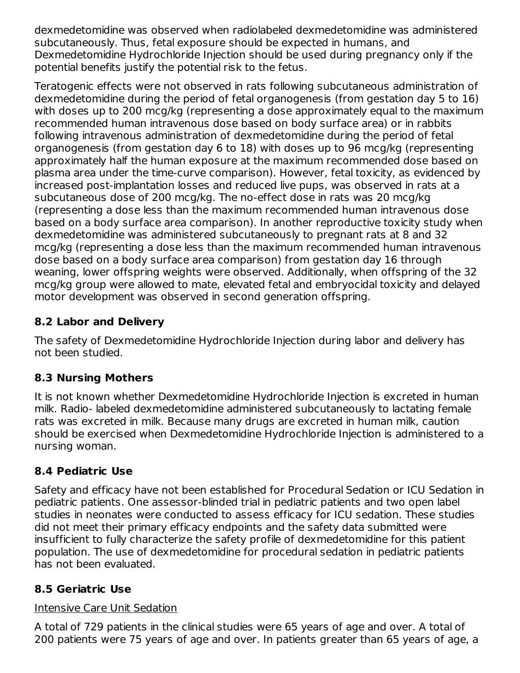dexmedetomidine was observed when radiolabeled dexmedetomidine was administered subcutaneously. Thus, fetal exposure should be expected in humans, and Dexmedetomidine Hydrochloride Injection should be used during pregnancy only if the potential benefits justify the potential risk to the fetus.

Teratogenic effects were not observed in rats following subcutaneous administration of dexmedetomidine during the period of fetal organogenesis (from gestation day 5 to 16) with doses up to 200 mcg/kg (representing a dose approximately equal to the maximum recommended human intravenous dose based on body surface area) or in rabbits following intravenous administration of dexmedetomidine during the period of fetal organogenesis (from gestation day 6 to 18) with doses up to 96 mcg/kg (representing approximately half the human exposure at the maximum recommended dose based on plasma area under the time-curve comparison). However, fetal toxicity, as evidenced by increased post-implantation losses and reduced live pups, was observed in rats at a subcutaneous dose of 200 mcg/kg. The no-effect dose in rats was 20 mcg/kg (representing a dose less than the maximum recommended human intravenous dose based on a body surface area comparison). In another reproductive toxicity study when dexmedetomidine was administered subcutaneously to pregnant rats at 8 and 32 mcg/kg (representing a dose less than the maximum recommended human intravenous dose based on a body surface area comparison) from gestation day 16 through weaning, lower offspring weights were observed. Additionally, when offspring of the 32 mcg/kg group were allowed to mate, elevated fetal and embryocidal toxicity and delayed motor development was observed in second generation offspring.

### **8.2 Labor and Delivery**

The safety of Dexmedetomidine Hydrochloride Injection during labor and delivery has not been studied.

### **8.3 Nursing Mothers**

It is not known whether Dexmedetomidine Hydrochloride Injection is excreted in human milk. Radio- labeled dexmedetomidine administered subcutaneously to lactating female rats was excreted in milk. Because many drugs are excreted in human milk, caution should be exercised when Dexmedetomidine Hydrochloride Injection is administered to a nursing woman.

### **8.4 Pediatric Use**

Safety and efficacy have not been established for Procedural Sedation or ICU Sedation in pediatric patients. One assessor-blinded trial in pediatric patients and two open label studies in neonates were conducted to assess efficacy for ICU sedation. These studies did not meet their primary efficacy endpoints and the safety data submitted were insufficient to fully characterize the safety profile of dexmedetomidine for this patient population. The use of dexmedetomidine for procedural sedation in pediatric patients has not been evaluated.

### **8.5 Geriatric Use**

## Intensive Care Unit Sedation

A total of 729 patients in the clinical studies were 65 years of age and over. A total of 200 patients were 75 years of age and over. In patients greater than 65 years of age, a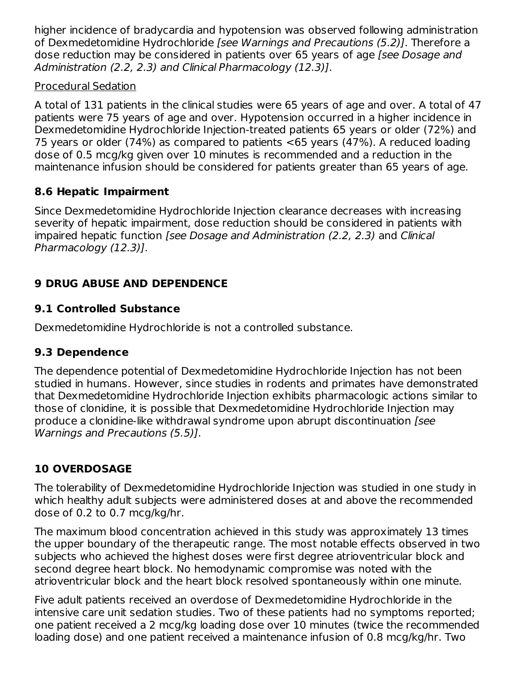higher incidence of bradycardia and hypotension was observed following administration of Dexmedetomidine Hydrochloride [see Warnings and Precautions (5.2)]. Therefore a dose reduction may be considered in patients over 65 years of age [see Dosage and Administration (2.2, 2.3) and Clinical Pharmacology (12.3)].

#### Procedural Sedation

A total of 131 patients in the clinical studies were 65 years of age and over. A total of 47 patients were 75 years of age and over. Hypotension occurred in a higher incidence in Dexmedetomidine Hydrochloride Injection-treated patients 65 years or older (72%) and 75 years or older (74%) as compared to patients <65 years (47%). A reduced loading dose of 0.5 mcg/kg given over 10 minutes is recommended and a reduction in the maintenance infusion should be considered for patients greater than 65 years of age.

### **8.6 Hepatic Impairment**

Since Dexmedetomidine Hydrochloride Injection clearance decreases with increasing severity of hepatic impairment, dose reduction should be considered in patients with impaired hepatic function [see Dosage and Administration (2.2, 2.3) and Clinical Pharmacology (12.3)].

### **9 DRUG ABUSE AND DEPENDENCE**

### **9.1 Controlled Substance**

Dexmedetomidine Hydrochloride is not a controlled substance.

### **9.3 Dependence**

The dependence potential of Dexmedetomidine Hydrochloride Injection has not been studied in humans. However, since studies in rodents and primates have demonstrated that Dexmedetomidine Hydrochloride Injection exhibits pharmacologic actions similar to those of clonidine, it is possible that Dexmedetomidine Hydrochloride Injection may produce a clonidine-like withdrawal syndrome upon abrupt discontinuation [see Warnings and Precautions (5.5)].

### **10 OVERDOSAGE**

The tolerability of Dexmedetomidine Hydrochloride Injection was studied in one study in which healthy adult subjects were administered doses at and above the recommended dose of 0.2 to 0.7 mcg/kg/hr.

The maximum blood concentration achieved in this study was approximately 13 times the upper boundary of the therapeutic range. The most notable effects observed in two subjects who achieved the highest doses were first degree atrioventricular block and second degree heart block. No hemodynamic compromise was noted with the atrioventricular block and the heart block resolved spontaneously within one minute.

Five adult patients received an overdose of Dexmedetomidine Hydrochloride in the intensive care unit sedation studies. Two of these patients had no symptoms reported; one patient received a 2 mcg/kg loading dose over 10 minutes (twice the recommended loading dose) and one patient received a maintenance infusion of 0.8 mcg/kg/hr. Two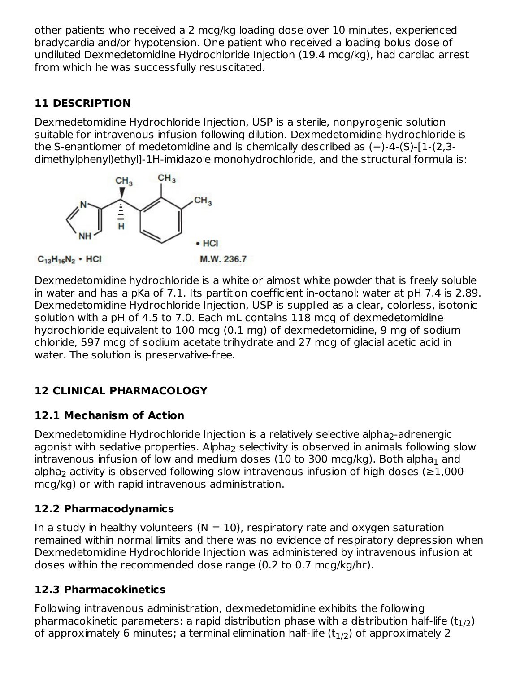other patients who received a 2 mcg/kg loading dose over 10 minutes, experienced bradycardia and/or hypotension. One patient who received a loading bolus dose of undiluted Dexmedetomidine Hydrochloride Injection (19.4 mcg/kg), had cardiac arrest from which he was successfully resuscitated.

### **11 DESCRIPTION**

Dexmedetomidine Hydrochloride Injection, USP is a sterile, nonpyrogenic solution suitable for intravenous infusion following dilution. Dexmedetomidine hydrochloride is the S-enantiomer of medetomidine and is chemically described as (+)-4-(S)-[1-(2,3 dimethylphenyl)ethyl]-1H-imidazole monohydrochloride, and the structural formula is:



Dexmedetomidine hydrochloride is a white or almost white powder that is freely soluble in water and has a pKa of 7.1. Its partition coefficient in-octanol: water at pH 7.4 is 2.89. Dexmedetomidine Hydrochloride Injection, USP is supplied as a clear, colorless, isotonic solution with a pH of 4.5 to 7.0. Each mL contains 118 mcg of dexmedetomidine hydrochloride equivalent to 100 mcg (0.1 mg) of dexmedetomidine, 9 mg of sodium chloride, 597 mcg of sodium acetate trihydrate and 27 mcg of glacial acetic acid in water. The solution is preservative-free.

## **12 CLINICAL PHARMACOLOGY**

### **12.1 Mechanism of Action**

Dexmedetomidine Hydrochloride Injection is a relatively selective alpha<sub>2</sub>-adrenergic agonist with sedative properties. Alpha $_2$  selectivity is observed in animals following slow intravenous infusion of low and medium doses (10 to 300 mcg/kg). Both alpha $_{\rm 1}$  and alpha $_2$  activity is observed following slow intravenous infusion of high doses (≥1,000  $\,$ mcg/kg) or with rapid intravenous administration.

## **12.2 Pharmacodynamics**

In a study in healthy volunteers ( $N = 10$ ), respiratory rate and oxygen saturation remained within normal limits and there was no evidence of respiratory depression when Dexmedetomidine Hydrochloride Injection was administered by intravenous infusion at doses within the recommended dose range (0.2 to 0.7 mcg/kg/hr).

### **12.3 Pharmacokinetics**

Following intravenous administration, dexmedetomidine exhibits the following pharmacokinetic parameters: a rapid distribution phase with a distribution half-life (t $_{\rm 1/2})$ of approximately 6 minutes; a terminal elimination half-life (t $_{\rm 1/2})$  of approximately 2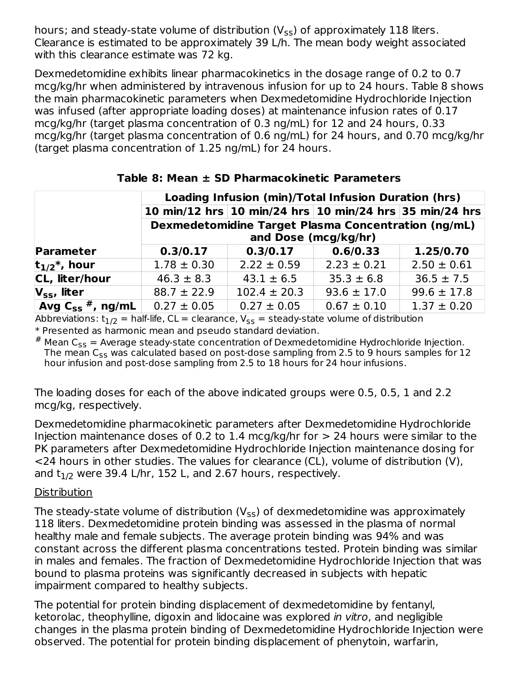hours; and steady-state volume of distribution ( $\rm V_{SS}$ ) of approximately 118 liters. Clearance is estimated to be approximately 39 L/h. The mean body weight associated with this clearance estimate was 72 kg. 1/2 ss

Dexmedetomidine exhibits linear pharmacokinetics in the dosage range of 0.2 to 0.7 mcg/kg/hr when administered by intravenous infusion for up to 24 hours. Table 8 shows the main pharmacokinetic parameters when Dexmedetomidine Hydrochloride Injection was infused (after appropriate loading doses) at maintenance infusion rates of 0.17 mcg/kg/hr (target plasma concentration of 0.3 ng/mL) for 12 and 24 hours, 0.33 mcg/kg/hr (target plasma concentration of 0.6 ng/mL) for 24 hours, and 0.70 mcg/kg/hr (target plasma concentration of 1.25 ng/mL) for 24 hours.

|                                                       | Loading Infusion (min)/Total Infusion Duration (hrs) |                                                         |                 |                 |  |  |  |  |
|-------------------------------------------------------|------------------------------------------------------|---------------------------------------------------------|-----------------|-----------------|--|--|--|--|
|                                                       |                                                      | 10 min/12 hrs 10 min/24 hrs 10 min/24 hrs 35 min/24 hrs |                 |                 |  |  |  |  |
|                                                       | Dexmedetomidine Target Plasma Concentration (ng/mL)  |                                                         |                 |                 |  |  |  |  |
|                                                       |                                                      | and Dose (mcg/kg/hr)                                    |                 |                 |  |  |  |  |
| <b>Parameter</b>                                      | 0.3/0.17                                             | 0.3/0.17                                                | 0.6/0.33        | 1.25/0.70       |  |  |  |  |
| $t_{1/2}$ , hour                                      | $1.78 \pm 0.30$                                      | $2.22 \pm 0.59$                                         | $2.23 \pm 0.21$ | $2.50 \pm 0.61$ |  |  |  |  |
| CL, liter/hour                                        | $46.3 \pm 8.3$                                       | $43.1 \pm 6.5$                                          | $35.3 \pm 6.8$  | $36.5 \pm 7.5$  |  |  |  |  |
| $V_{SS}$ , liter                                      | $88.7 \pm 22.9$                                      | $102.4 \pm 20.3$                                        | $93.6 \pm 17.0$ | $99.6 \pm 17.8$ |  |  |  |  |
| $^\shortparallel$ Avg C <sub>ss</sub> $^{\#}$ , ng/mL | $0.27 \pm 0.05$                                      | $0.27 \pm 0.05$                                         | $0.67 \pm 0.10$ | $1.37 \pm 0.20$ |  |  |  |  |

Abbreviations: t $_{1/2}$  = half-life, CL = clearance, V $_{\rm SS}$  = steady-state volume of distribution

\* Presented as harmonic mean and pseudo standard deviation.

 $^{\#}$  Mean C<sub>ss</sub> = Average steady-state concentration of Dexmedetomidine Hydrochloride Injection. The mean  $\mathsf{C}_\mathsf{SS}$  was calculated based on post-dose sampling from 2.5 to 9 hours samples for  $12$ hour infusion and post-dose sampling from 2.5 to 18 hours for 24 hour infusions.

The loading doses for each of the above indicated groups were 0.5, 0.5, 1 and 2.2 mcg/kg, respectively.

Dexmedetomidine pharmacokinetic parameters after Dexmedetomidine Hydrochloride Injection maintenance doses of 0.2 to 1.4 mcg/kg/hr for  $> 24$  hours were similar to the PK parameters after Dexmedetomidine Hydrochloride Injection maintenance dosing for <24 hours in other studies. The values for clearance (CL), volume of distribution (V), and  $t_{1/2}$  were 39.4 L/hr, 152 L, and 2.67 hours, respectively.

#### **Distribution**

The steady-state volume of distribution (V<sub>ss</sub>) of dexmedetomidine was approximately 118 liters. Dexmedetomidine protein binding was assessed in the plasma of normal healthy male and female subjects. The average protein binding was 94% and was constant across the different plasma concentrations tested. Protein binding was similar in males and females. The fraction of Dexmedetomidine Hydrochloride Injection that was bound to plasma proteins was significantly decreased in subjects with hepatic impairment compared to healthy subjects.

The potential for protein binding displacement of dexmedetomidine by fentanyl, ketorolac, theophylline, digoxin and lidocaine was explored in vitro, and negligible changes in the plasma protein binding of Dexmedetomidine Hydrochloride Injection were observed. The potential for protein binding displacement of phenytoin, warfarin,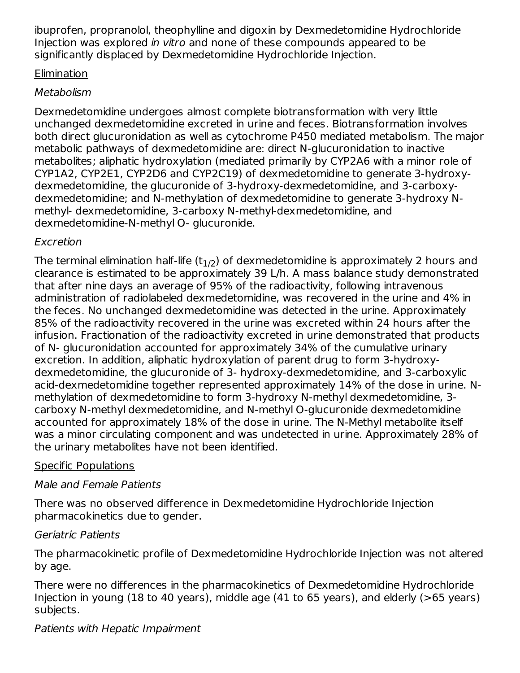ibuprofen, propranolol, theophylline and digoxin by Dexmedetomidine Hydrochloride Injection was explored in vitro and none of these compounds appeared to be significantly displaced by Dexmedetomidine Hydrochloride Injection.

#### Elimination

### Metabolism

Dexmedetomidine undergoes almost complete biotransformation with very little unchanged dexmedetomidine excreted in urine and feces. Biotransformation involves both direct glucuronidation as well as cytochrome P450 mediated metabolism. The major metabolic pathways of dexmedetomidine are: direct N-glucuronidation to inactive metabolites; aliphatic hydroxylation (mediated primarily by CYP2A6 with a minor role of CYP1A2, CYP2E1, CYP2D6 and CYP2C19) of dexmedetomidine to generate 3-hydroxydexmedetomidine, the glucuronide of 3-hydroxy-dexmedetomidine, and 3-carboxydexmedetomidine; and N-methylation of dexmedetomidine to generate 3-hydroxy Nmethyl- dexmedetomidine, 3-carboxy N-methyl-dexmedetomidine, and dexmedetomidine-N-methyl O- glucuronide.

### Excretion

The terminal elimination half-life (t $_{\rm 1/2}$ ) of dexmedetomidine is approximately 2 hours and clearance is estimated to be approximately 39 L/h. A mass balance study demonstrated that after nine days an average of 95% of the radioactivity, following intravenous administration of radiolabeled dexmedetomidine, was recovered in the urine and 4% in the feces. No unchanged dexmedetomidine was detected in the urine. Approximately 85% of the radioactivity recovered in the urine was excreted within 24 hours after the infusion. Fractionation of the radioactivity excreted in urine demonstrated that products of N- glucuronidation accounted for approximately 34% of the cumulative urinary excretion. In addition, aliphatic hydroxylation of parent drug to form 3-hydroxydexmedetomidine, the glucuronide of 3- hydroxy-dexmedetomidine, and 3-carboxylic acid-dexmedetomidine together represented approximately 14% of the dose in urine. Nmethylation of dexmedetomidine to form 3-hydroxy N-methyl dexmedetomidine, 3 carboxy N-methyl dexmedetomidine, and N-methyl O-glucuronide dexmedetomidine accounted for approximately 18% of the dose in urine. The N-Methyl metabolite itself was a minor circulating component and was undetected in urine. Approximately 28% of the urinary metabolites have not been identified.

### Specific Populations

### Male and Female Patients

There was no observed difference in Dexmedetomidine Hydrochloride Injection pharmacokinetics due to gender.

### Geriatric Patients

The pharmacokinetic profile of Dexmedetomidine Hydrochloride Injection was not altered by age.

There were no differences in the pharmacokinetics of Dexmedetomidine Hydrochloride Injection in young (18 to 40 years), middle age (41 to 65 years), and elderly (>65 years) subjects.

### Patients with Hepatic Impairment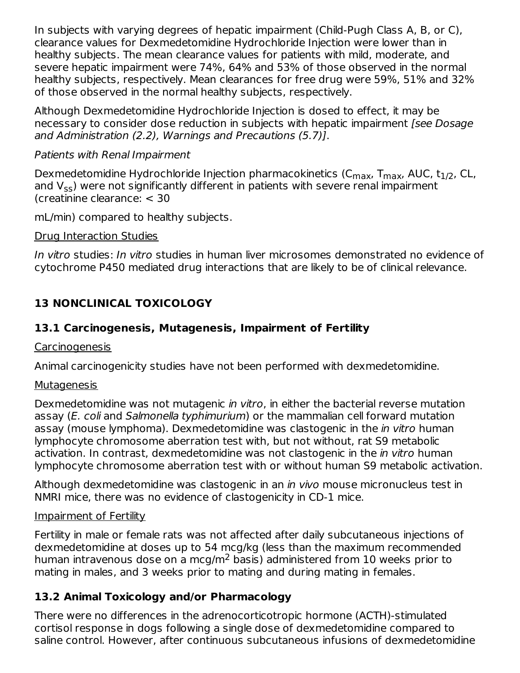In subjects with varying degrees of hepatic impairment (Child-Pugh Class A, B, or C), clearance values for Dexmedetomidine Hydrochloride Injection were lower than in healthy subjects. The mean clearance values for patients with mild, moderate, and severe hepatic impairment were 74%, 64% and 53% of those observed in the normal healthy subjects, respectively. Mean clearances for free drug were 59%, 51% and 32% of those observed in the normal healthy subjects, respectively.

Although Dexmedetomidine Hydrochloride Injection is dosed to effect, it may be necessary to consider dose reduction in subjects with hepatic impairment (see Dosage and Administration (2.2), Warnings and Precautions (5.7)].

#### Patients with Renal Impairment

Dexmedetomidine Hydrochloride Injection pharmacokinetics (C<sub>max</sub>, T<sub>max</sub>, AUC, t<sub>1/2</sub>, CL, and  $\mathsf{V}_{\mathsf{SS}}$ ) were not significantly different in patients with severe renal impairment (creatinine clearance: < 30

mL/min) compared to healthy subjects.

#### Drug Interaction Studies

In vitro studies: In vitro studies in human liver microsomes demonstrated no evidence of cytochrome P450 mediated drug interactions that are likely to be of clinical relevance.

### **13 NONCLINICAL TOXICOLOGY**

### **13.1 Carcinogenesis, Mutagenesis, Impairment of Fertility**

#### Carcinogenesis

Animal carcinogenicity studies have not been performed with dexmedetomidine.

#### **Mutagenesis**

Dexmedetomidine was not mutagenic in vitro, in either the bacterial reverse mutation assay (E. coli and Salmonella typhimurium) or the mammalian cell forward mutation assay (mouse lymphoma). Dexmedetomidine was clastogenic in the *in vitro* human lymphocyte chromosome aberration test with, but not without, rat S9 metabolic activation. In contrast, dexmedetomidine was not clastogenic in the *in vitro* human lymphocyte chromosome aberration test with or without human S9 metabolic activation.

Although dexmedetomidine was clastogenic in an in vivo mouse micronucleus test in NMRI mice, there was no evidence of clastogenicity in CD-1 mice.

#### Impairment of Fertility

Fertility in male or female rats was not affected after daily subcutaneous injections of dexmedetomidine at doses up to 54 mcg/kg (less than the maximum recommended human intravenous dose on a mcg/m<sup>2</sup> basis) administered from 10 weeks prior to mating in males, and 3 weeks prior to mating and during mating in females.

### **13.2 Animal Toxicology and/or Pharmacology**

There were no differences in the adrenocorticotropic hormone (ACTH)-stimulated cortisol response in dogs following a single dose of dexmedetomidine compared to saline control. However, after continuous subcutaneous infusions of dexmedetomidine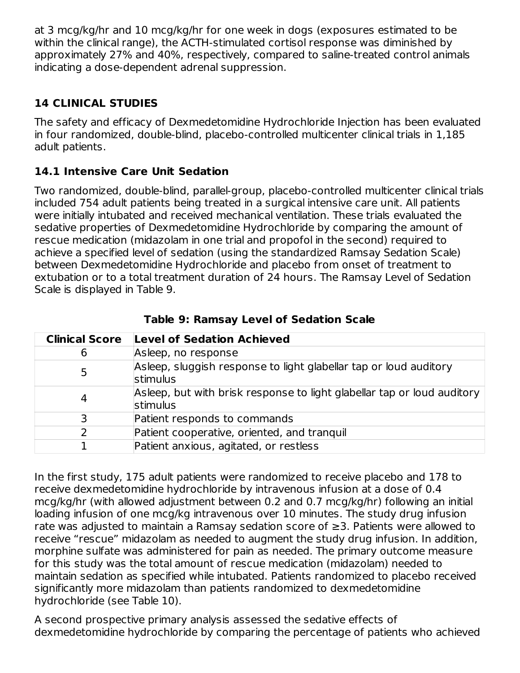at 3 mcg/kg/hr and 10 mcg/kg/hr for one week in dogs (exposures estimated to be within the clinical range), the ACTH-stimulated cortisol response was diminished by approximately 27% and 40%, respectively, compared to saline-treated control animals indicating a dose-dependent adrenal suppression.

### **14 CLINICAL STUDIES**

The safety and efficacy of Dexmedetomidine Hydrochloride Injection has been evaluated in four randomized, double-blind, placebo-controlled multicenter clinical trials in 1,185 adult patients.

### **14.1 Intensive Care Unit Sedation**

Two randomized, double-blind, parallel-group, placebo-controlled multicenter clinical trials included 754 adult patients being treated in a surgical intensive care unit. All patients were initially intubated and received mechanical ventilation. These trials evaluated the sedative properties of Dexmedetomidine Hydrochloride by comparing the amount of rescue medication (midazolam in one trial and propofol in the second) required to achieve a specified level of sedation (using the standardized Ramsay Sedation Scale) between Dexmedetomidine Hydrochloride and placebo from onset of treatment to extubation or to a total treatment duration of 24 hours. The Ramsay Level of Sedation Scale is displayed in Table 9.

| <b>Clinical Score</b> | Level of Sedation Achieved                                                          |
|-----------------------|-------------------------------------------------------------------------------------|
| 6                     | Asleep, no response                                                                 |
| 5                     | Asleep, sluggish response to light glabellar tap or loud auditory<br>stimulus       |
| 4                     | Asleep, but with brisk response to light glabellar tap or loud auditory<br>stimulus |
| 3                     | Patient responds to commands                                                        |
| 2                     | Patient cooperative, oriented, and tranquil                                         |
|                       | Patient anxious, agitated, or restless                                              |

**Table 9: Ramsay Level of Sedation Scale**

In the first study, 175 adult patients were randomized to receive placebo and 178 to receive dexmedetomidine hydrochloride by intravenous infusion at a dose of 0.4 mcg/kg/hr (with allowed adjustment between 0.2 and 0.7 mcg/kg/hr) following an initial loading infusion of one mcg/kg intravenous over 10 minutes. The study drug infusion rate was adjusted to maintain a Ramsay sedation score of ≥3. Patients were allowed to receive "rescue" midazolam as needed to augment the study drug infusion. In addition, morphine sulfate was administered for pain as needed. The primary outcome measure for this study was the total amount of rescue medication (midazolam) needed to maintain sedation as specified while intubated. Patients randomized to placebo received significantly more midazolam than patients randomized to dexmedetomidine hydrochloride (see Table 10).

A second prospective primary analysis assessed the sedative effects of dexmedetomidine hydrochloride by comparing the percentage of patients who achieved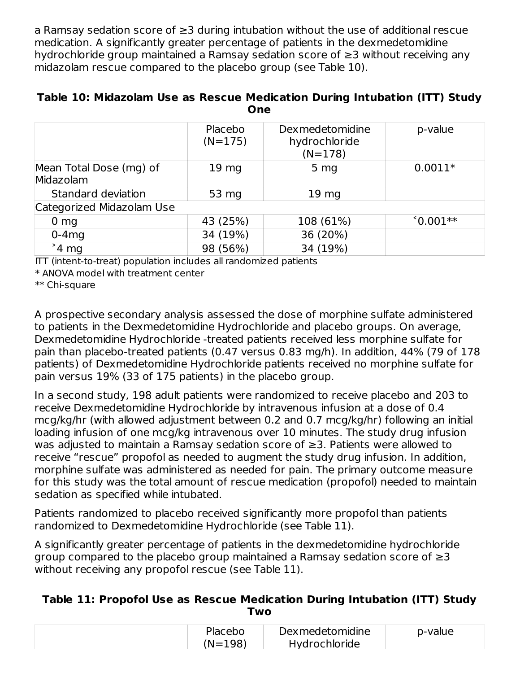a Ramsay sedation score of ≥3 during intubation without the use of additional rescue medication. A significantly greater percentage of patients in the dexmedetomidine hydrochloride group maintained a Ramsay sedation score of ≥3 without receiving any midazolam rescue compared to the placebo group (see Table 10).

|  |  | Table 10: Midazolam Use as Rescue Medication During Intubation (ITT) Study |  |  |
|--|--|----------------------------------------------------------------------------|--|--|
|  |  | One                                                                        |  |  |

|                                      | Placebo<br>$(N=175)$ | Dexmedetomidine<br>hydrochloride<br>$(N=178)$ | p-value           |
|--------------------------------------|----------------------|-----------------------------------------------|-------------------|
| Mean Total Dose (mg) of<br>Midazolam | 19 <sub>mg</sub>     | 5 <sub>mg</sub>                               | $0.0011*$         |
| Standard deviation                   | 53 mg                | 19 <sub>mg</sub>                              |                   |
| Categorized Midazolam Use            |                      |                                               |                   |
| 0 <sub>mg</sub>                      | 43 (25%)             | 108 (61%)                                     | $^{\circ}0.001**$ |
| $0-4mg$                              | 34 (19%)             | 36 (20%)                                      |                   |
| $34 \text{ mg}$                      | 98 (56%)             | 34 (19%)                                      |                   |

ITT (intent-to-treat) population includes all randomized patients

\* ANOVA model with treatment center

\*\* Chi-square

A prospective secondary analysis assessed the dose of morphine sulfate administered to patients in the Dexmedetomidine Hydrochloride and placebo groups. On average, Dexmedetomidine Hydrochloride -treated patients received less morphine sulfate for pain than placebo-treated patients (0.47 versus 0.83 mg/h). In addition, 44% (79 of 178 patients) of Dexmedetomidine Hydrochloride patients received no morphine sulfate for pain versus 19% (33 of 175 patients) in the placebo group.

In a second study, 198 adult patients were randomized to receive placebo and 203 to receive Dexmedetomidine Hydrochloride by intravenous infusion at a dose of 0.4 mcg/kg/hr (with allowed adjustment between 0.2 and 0.7 mcg/kg/hr) following an initial loading infusion of one mcg/kg intravenous over 10 minutes. The study drug infusion was adjusted to maintain a Ramsay sedation score of ≥3. Patients were allowed to receive "rescue" propofol as needed to augment the study drug infusion. In addition, morphine sulfate was administered as needed for pain. The primary outcome measure for this study was the total amount of rescue medication (propofol) needed to maintain sedation as specified while intubated.

Patients randomized to placebo received significantly more propofol than patients randomized to Dexmedetomidine Hydrochloride (see Table 11).

A significantly greater percentage of patients in the dexmedetomidine hydrochloride group compared to the placebo group maintained a Ramsay sedation score of ≥3 without receiving any propofol rescue (see Table 11).

#### **Table 11: Propofol Use as Rescue Medication During Intubation (ITT) Study Two**

| Placebo   | Dexmedetomidine | p-value |
|-----------|-----------------|---------|
| $(N=198)$ | Hydrochloride   |         |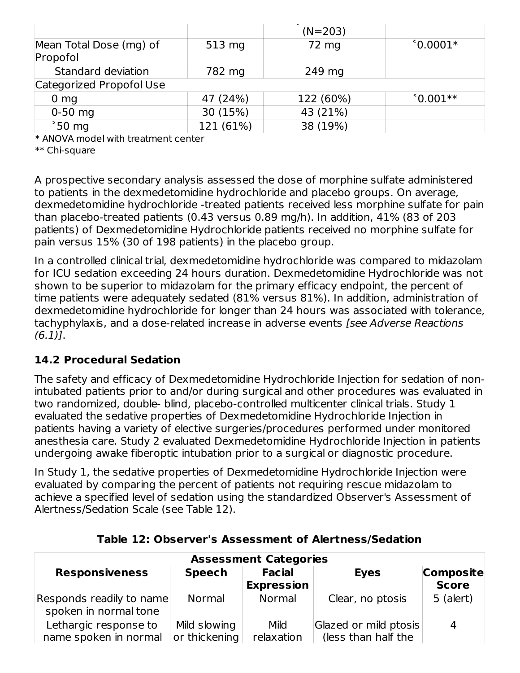|                                     |           | $(N=203)$ |                   |
|-------------------------------------|-----------|-----------|-------------------|
| Mean Total Dose (mg) of<br>Propofol | 513 mg    | 72 mg     | $^{\circ}0.0001*$ |
| Standard deviation                  | 782 mg    | 249 mg    |                   |
| Categorized Propofol Use            |           |           |                   |
| 0 <sub>mg</sub>                     | 47 (24%)  | 122 (60%) | $^{\circ}0.001**$ |
| $0-50$ mg                           | 30 (15%)  | 43 (21%)  |                   |
| $\degree$ 50 mg                     | 121 (61%) | 38 (19%)  |                   |

\* ANOVA model with treatment center

\*\* Chi-square

A prospective secondary analysis assessed the dose of morphine sulfate administered to patients in the dexmedetomidine hydrochloride and placebo groups. On average, dexmedetomidine hydrochloride -treated patients received less morphine sulfate for pain than placebo-treated patients (0.43 versus 0.89 mg/h). In addition, 41% (83 of 203 patients) of Dexmedetomidine Hydrochloride patients received no morphine sulfate for pain versus 15% (30 of 198 patients) in the placebo group.

In a controlled clinical trial, dexmedetomidine hydrochloride was compared to midazolam for ICU sedation exceeding 24 hours duration. Dexmedetomidine Hydrochloride was not shown to be superior to midazolam for the primary efficacy endpoint, the percent of time patients were adequately sedated (81% versus 81%). In addition, administration of dexmedetomidine hydrochloride for longer than 24 hours was associated with tolerance, tachyphylaxis, and a dose-related increase in adverse events [see Adverse Reactions (6.1)].

### **14.2 Procedural Sedation**

The safety and efficacy of Dexmedetomidine Hydrochloride Injection for sedation of nonintubated patients prior to and/or during surgical and other procedures was evaluated in two randomized, double- blind, placebo-controlled multicenter clinical trials. Study 1 evaluated the sedative properties of Dexmedetomidine Hydrochloride Injection in patients having a variety of elective surgeries/procedures performed under monitored anesthesia care. Study 2 evaluated Dexmedetomidine Hydrochloride Injection in patients undergoing awake fiberoptic intubation prior to a surgical or diagnostic procedure.

In Study 1, the sedative properties of Dexmedetomidine Hydrochloride Injection were evaluated by comparing the percent of patients not requiring rescue midazolam to achieve a specified level of sedation using the standardized Observer's Assessment of Alertness/Sedation Scale (see Table 12).

| <b>Assessment Categories</b>                      |                               |                                    |                                              |                                  |  |  |  |  |
|---------------------------------------------------|-------------------------------|------------------------------------|----------------------------------------------|----------------------------------|--|--|--|--|
| <b>Responsiveness</b>                             | <b>Speech</b>                 | <b>Facial</b><br><b>Expression</b> | <b>Eyes</b>                                  | <b>Composite</b><br><b>Score</b> |  |  |  |  |
| Responds readily to name<br>spoken in normal tone | Normal                        | Normal                             | Clear, no ptosis                             | 5 (alert)                        |  |  |  |  |
| Lethargic response to<br>name spoken in normal    | Mild slowing<br>or thickening | <b>Mild</b><br>relaxation          | Glazed or mild ptosis<br>(less than half the | 4                                |  |  |  |  |

**Table 12: Observer's Assessment of Alertness/Sedation**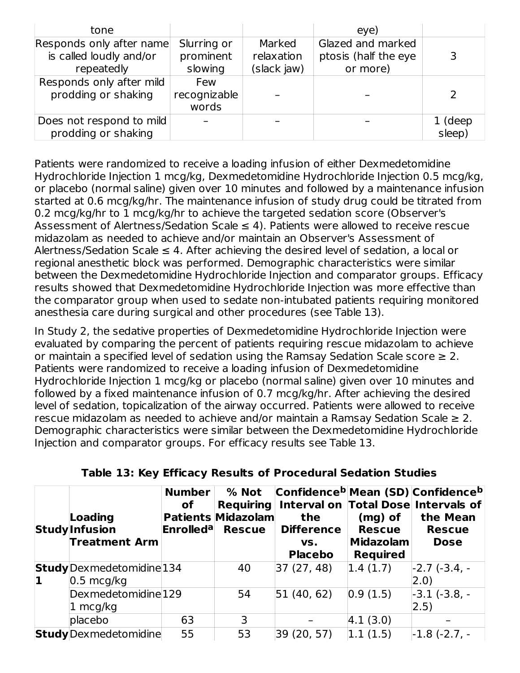| tone                     |              |             | eye)                 |         |
|--------------------------|--------------|-------------|----------------------|---------|
| Responds only after name | Slurring or  | Marked      | Glazed and marked    |         |
| is called loudly and/or  | prominent    | relaxation  | ptosis (half the eye | 3       |
| repeatedly               | slowing      | (slack jaw) | or more)             |         |
| Responds only after mild | Few          |             |                      |         |
| prodding or shaking      | recognizable |             |                      |         |
|                          | words        |             |                      |         |
| Does not respond to mild |              |             |                      | 1 (deep |
| prodding or shaking      |              |             |                      | sleep)  |

Patients were randomized to receive a loading infusion of either Dexmedetomidine Hydrochloride Injection 1 mcg/kg, Dexmedetomidine Hydrochloride Injection 0.5 mcg/kg, or placebo (normal saline) given over 10 minutes and followed by a maintenance infusion started at 0.6 mcg/kg/hr. The maintenance infusion of study drug could be titrated from 0.2 mcg/kg/hr to 1 mcg/kg/hr to achieve the targeted sedation score (Observer's Assessment of Alertness/Sedation Scale  $\leq 4$ ). Patients were allowed to receive rescue midazolam as needed to achieve and/or maintain an Observer's Assessment of Alertness/Sedation Scale  $\leq 4$ . After achieving the desired level of sedation, a local or regional anesthetic block was performed. Demographic characteristics were similar between the Dexmedetomidine Hydrochloride Injection and comparator groups. Efficacy results showed that Dexmedetomidine Hydrochloride Injection was more effective than the comparator group when used to sedate non-intubated patients requiring monitored anesthesia care during surgical and other procedures (see Table 13).

In Study 2, the sedative properties of Dexmedetomidine Hydrochloride Injection were evaluated by comparing the percent of patients requiring rescue midazolam to achieve or maintain a specified level of sedation using the Ramsay Sedation Scale score  $\geq 2$ . Patients were randomized to receive a loading infusion of Dexmedetomidine Hydrochloride Injection 1 mcg/kg or placebo (normal saline) given over 10 minutes and followed by a fixed maintenance infusion of 0.7 mcg/kg/hr. After achieving the desired level of sedation, topicalization of the airway occurred. Patients were allowed to receive rescue midazolam as needed to achieve and/or maintain a Ramsay Sedation Scale  $\geq 2$ . Demographic characteristics were similar between the Dexmedetomidine Hydrochloride Injection and comparator groups. For efficacy results see Table 13.

|    | Loading<br>StudyInfusion<br><b>Treatment Arm</b>         | Number<br><b>of</b><br><b>Enrolleda</b> | % Not<br><b>Requiring</b><br><b>Patients Midazolam</b><br><b>Rescue</b> | the<br><b>Difference</b><br>VS.<br><b>Placebo</b> | $(mg)$ of<br><b>Rescue</b><br><b>Midazolam</b><br><b>Required</b> | Confidence <sup>b</sup> Mean (SD) Confidence <sup>b</sup><br>Interval on Total Dose Intervals of<br>the Mean<br><b>Rescue</b><br><b>Dose</b> |
|----|----------------------------------------------------------|-----------------------------------------|-------------------------------------------------------------------------|---------------------------------------------------|-------------------------------------------------------------------|----------------------------------------------------------------------------------------------------------------------------------------------|
| 11 | <b>Study</b> Dexmedetomidine 134<br>$0.5 \text{ mcg/kg}$ |                                         | 40                                                                      | 37 (27, 48)                                       | 1.4(1.7)                                                          | $ -2.7(-3.4,-$<br>$ 2.0\rangle$                                                                                                              |
|    | Dexmedetomidine 129<br>1 mcg/kg                          |                                         | 54                                                                      | 51 (40, 62)                                       | 0.9(1.5)                                                          | $-3.1$ (-3.8, -<br>$ 2.5\rangle$                                                                                                             |
|    | placebo                                                  | 63                                      | 3                                                                       |                                                   | 4.1(3.0)                                                          |                                                                                                                                              |
|    | <b>Study</b> Dexmedetomidine                             | 55                                      | 53                                                                      | 39 (20, 57)                                       | 1.1(1.5)                                                          | $-1.8(-2.7,-$                                                                                                                                |

**Table 13: Key Efficacy Results of Procedural Sedation Studies**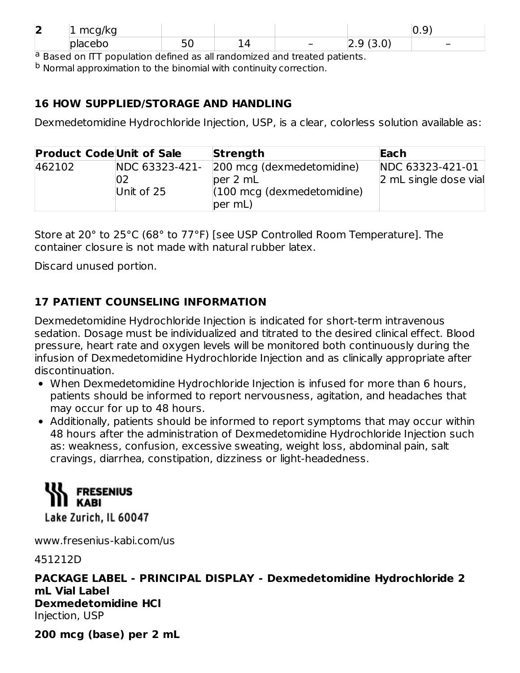| ◚<br>Ł | mcg/kg<br>$\sim$ |   |     |                          | <b>U.J</b> |
|--------|------------------|---|-----|--------------------------|------------|
|        | placebo          | ◡ | - - | ч<br><u>.</u><br>1 J . V |            |

<sup>a</sup> Based on ITT population defined as all randomized and treated patients.

 $^{\rm b}$  Normal approximation to the binomial with continuity correction.

#### **16 HOW SUPPLIED/STORAGE AND HANDLING**

Dexmedetomidine Hydrochloride Injection, USP, is a clear, colorless solution available as:

| <b>Product Code Unit of Sale</b> |                      | <b>Strength</b>                                 | <b>Each</b>                               |
|----------------------------------|----------------------|-------------------------------------------------|-------------------------------------------|
| 462102                           | NDC 63323-421-<br>02 | 200 mcg (dexmedetomidine)<br>per 2 mL           | NDC 63323-421-01<br>2 mL single dose vial |
|                                  | Unit of 25           | $(100 \text{ mcg}$ (dexmedetomidine)<br>per mL) |                                           |

Store at 20° to 25°C (68° to 77°F) [see USP Controlled Room Temperature]. The container closure is not made with natural rubber latex.

Discard unused portion.

### **17 PATIENT COUNSELING INFORMATION**

Dexmedetomidine Hydrochloride Injection is indicated for short-term intravenous sedation. Dosage must be individualized and titrated to the desired clinical effect. Blood pressure, heart rate and oxygen levels will be monitored both continuously during the infusion of Dexmedetomidine Hydrochloride Injection and as clinically appropriate after discontinuation.

- When Dexmedetomidine Hydrochloride Injection is infused for more than 6 hours, patients should be informed to report nervousness, agitation, and headaches that may occur for up to 48 hours.
- Additionally, patients should be informed to report symptoms that may occur within 48 hours after the administration of Dexmedetomidine Hydrochloride Injection such as: weakness, confusion, excessive sweating, weight loss, abdominal pain, salt cravings, diarrhea, constipation, dizziness or light-headedness.

### **AN FRESENIUS** KARI Lake Zurich, IL 60047

www.fresenius-kabi.com/us

451212D

**PACKAGE LABEL - PRINCIPAL DISPLAY - Dexmedetomidine Hydrochloride 2 mL Vial Label Dexmedetomidine HCl** Injection, USP

**200 mcg (base) per 2 mL**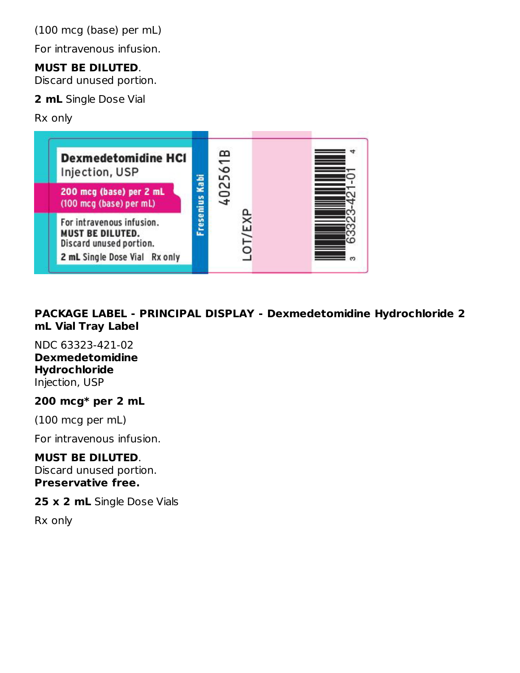(100 mcg (base) per mL)

For intravenous infusion.

#### **MUST BE DILUTED**.

Discard unused portion.

**2 mL** Single Dose Vial

Rx only



**PACKAGE LABEL - PRINCIPAL DISPLAY - Dexmedetomidine Hydrochloride 2 mL Vial Tray Label**

#### NDC 63323-421-02 **Dexmedetomidine Hydrochloride** Injection, USP

#### **200 mcg\* per 2 mL**

(100 mcg per mL)

For intravenous infusion.

#### **MUST BE DILUTED**.

Discard unused portion. **Preservative free.**

**25 x 2 mL** Single Dose Vials

Rx only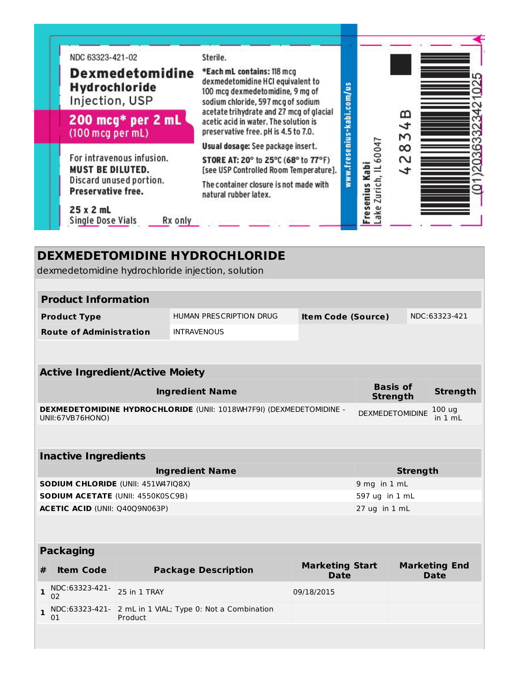| Hydrochloride<br>Injection, USP<br>200 mcg* per 2 mL<br>$(100 \text{ m}$ cg per mL)<br>For intravenous infusion.<br><b>MUST BE DILUTED.</b><br>Discard unused portion.<br>Preservative free.<br>25x2mL<br><b>Single Dose Vials</b><br>Rx only<br><b>DEXMEDETOMIDINE HYDROCHLORIDE</b><br>dexmedetomidine hydrochloride injection, solution<br><b>Product Information</b> | 100 mcg dexmedetomidine, 9 mg of<br>sodium chloride, 597 mcg of sodium<br>acetate trihydrate and 27 mcg of glacial<br>acetic acid in water. The solution is<br>preservative free. pH is 4.5 to 7.0.<br>Usual dosage: See package insert.<br>STORE AT: 20° to 25°C (68° to 77°F)<br>[see USP Controlled Room Temperature].<br>The container closure is not made with<br>natural rubber latex. | www.fresenius-kabi.com/us | 60047<br>Zurich, IL<br>Kabi<br>senius<br>ake<br>ؿ | മ്പ<br>⇉<br>М<br>$\infty$<br>S<br>4 |
|--------------------------------------------------------------------------------------------------------------------------------------------------------------------------------------------------------------------------------------------------------------------------------------------------------------------------------------------------------------------------|----------------------------------------------------------------------------------------------------------------------------------------------------------------------------------------------------------------------------------------------------------------------------------------------------------------------------------------------------------------------------------------------|---------------------------|---------------------------------------------------|-------------------------------------|
|                                                                                                                                                                                                                                                                                                                                                                          |                                                                                                                                                                                                                                                                                                                                                                                              |                           |                                                   |                                     |

# **Active Ingredient/Active Moiety**

| Ingredient Name                                                                         | <b>Basis of</b><br><b>Strength</b> | <b>Strength</b> |
|-----------------------------------------------------------------------------------------|------------------------------------|-----------------|
| DEXMEDETOMIDINE HYDROCHLORIDE (UNII: 1018WH7F9I) (DEXMEDETOMIDINE -<br>UNII:67VB76HONO) | DEXMEDETOMIDINE 100 ug<br>in 1 mL  |                 |

## **Inactive Ingredients**

| <b>Ingredient Name</b>                    | Strength                                   |
|-------------------------------------------|--------------------------------------------|
| <b>SODIUM CHLORIDE (UNII: 451W47IQ8X)</b> | $\vert 9 \text{ mg} \vert$ in 1 mL         |
| <b>SODIUM ACETATE (UNII: 4550K0SC9B)</b>  | 597 ug in 1 mL                             |
| <b>ACETIC ACID (UNII: Q40Q9N063P)</b>     | $ 27 \text{ uq} \text{ in } 1 \text{ mL} $ |

## **Packaging**

| <b>Item Code</b>                    | <b>Package Description</b>                                                                                                                                        | <b>Marketing Start</b><br><b>Date</b> | <b>Marketing End</b><br>Date |
|-------------------------------------|-------------------------------------------------------------------------------------------------------------------------------------------------------------------|---------------------------------------|------------------------------|
| 1 NDC:63323-421- 25 in 1 TRAY<br>02 |                                                                                                                                                                   | 09/18/2015                            |                              |
| 01                                  | $\begin{array}{c c c c c c c} \textbf{1} & \text{NDC:}63323-421 & 2 & \text{mL in 1 VAL; Type 0: Not a Combination} \ \textbf{01} & \text{Product} & \end{array}$ |                                       |                              |
|                                     |                                                                                                                                                                   |                                       |                              |